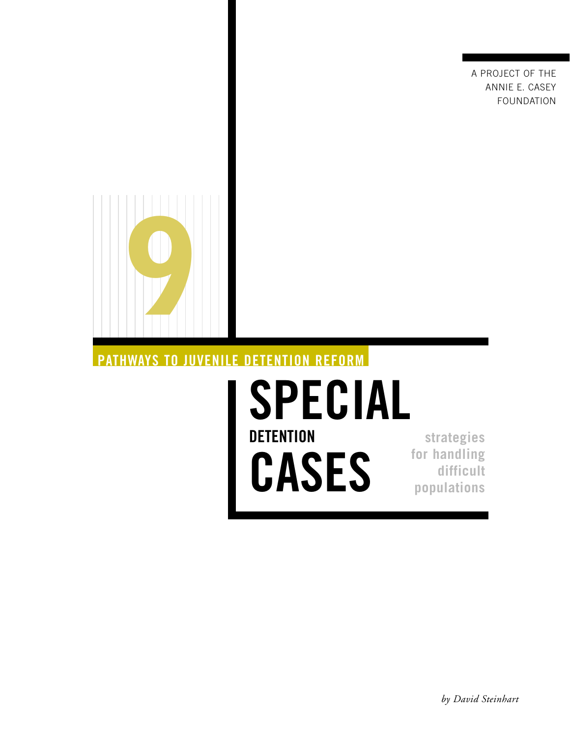A PROJECT OF THE ANNIE E. CASEY FOUNDATION



# **PATHWAYS TO JUVENILE DETENTION REFORM**

# **SPECIAL DETENTION CASES**

**strategies for handling difficult populations**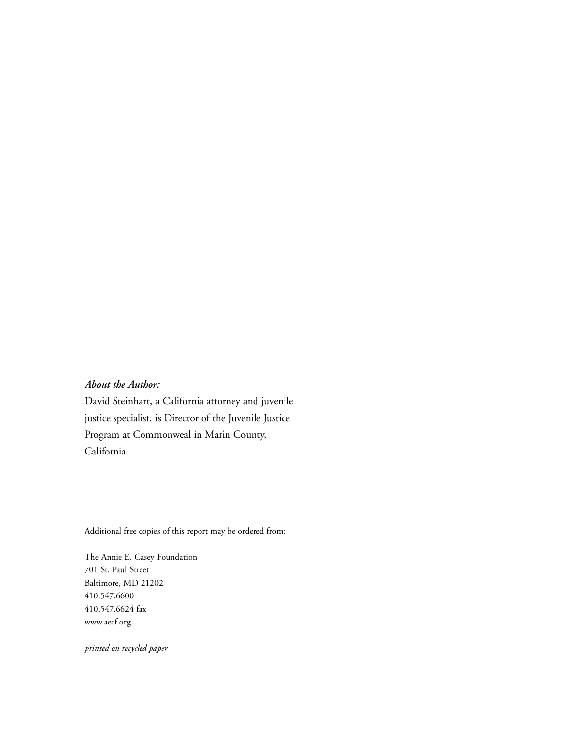#### *About the Author:*

David Steinhart, a California attorney and juvenile justice specialist, is Director of the Juvenile Justice Program at Commonweal in Marin County, California.

Additional free copies of this report may be ordered from:

The Annie E. Casey Foundation 701 St. Paul Street Baltimore, MD 21202 410.547.6600 410.547.6624 fax www.aecf.org

*printed on recycled paper*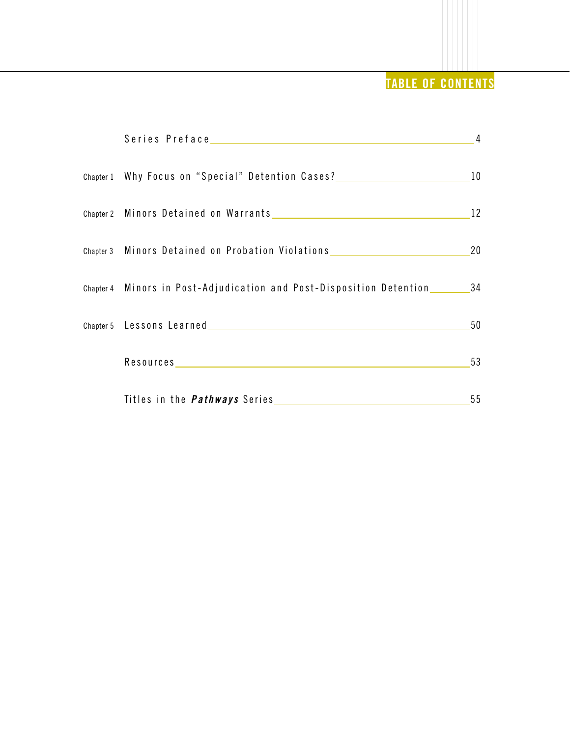# **TABLE OF CONTENTS**

|                                                                      | $\overline{4}$ |
|----------------------------------------------------------------------|----------------|
| Chapter 1 Why Focus on "Special" Detention Cases?                    | 10             |
| Chapter 2 Minors Detained on Warrants                                | 12             |
| Chapter 3 Minors Detained on Probation Violations                    | 20             |
| Chapter 4 Minors in Post-Adjudication and Post-Disposition Detention | -34            |
| Chapter 5 Lessons Learned Chapter 5 Lessons Learned                  | 50             |
|                                                                      | 53             |
|                                                                      | 55             |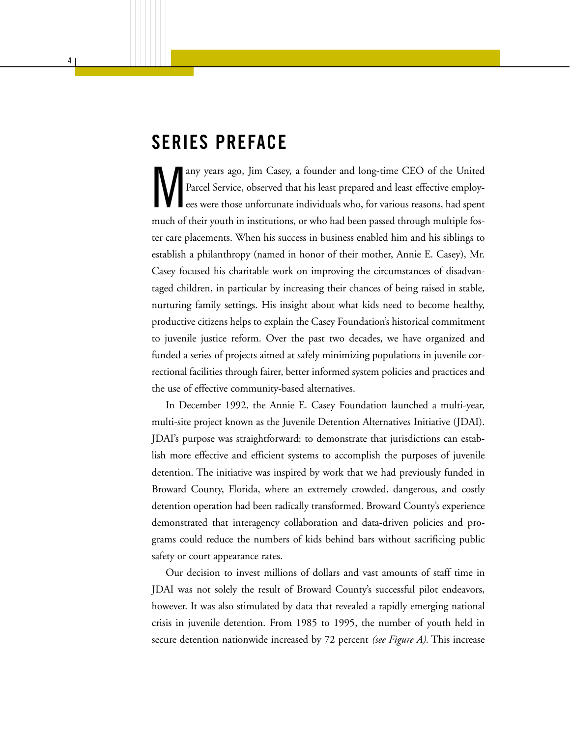# **SERIES PREFACE**

any years ago, Jim Casey, a founder and long-time CEO of the United Parcel Service, observed that his least prepared and least effective employ-<br>ees were those unfortunate individuals who, for various reasons, had spent Parcel Service, observed that his least prepared and least effective employees were those unfortunate individuals who, for various reasons, had spent much of their youth in institutions, or who had been passed through multiple foster care placements. When his success in business enabled him and his siblings to establish a philanthropy (named in honor of their mother, Annie E. Casey), Mr. Casey focused his charitable work on improving the circumstances of disadvantaged children, in particular by increasing their chances of being raised in stable, nurturing family settings. His insight about what kids need to become healthy, productive citizens helps to explain the Casey Foundation's historical commitment to juvenile justice reform. Over the past two decades, we have organized and funded a series of projects aimed at safely minimizing populations in juvenile correctional facilities through fairer, better informed system policies and practices and the use of effective community-based alternatives.

In December 1992, the Annie E. Casey Foundation launched a multi-year, multi-site project known as the Juvenile Detention Alternatives Initiative (JDAI). JDAI's purpose was straightforward: to demonstrate that jurisdictions can establish more effective and efficient systems to accomplish the purposes of juvenile detention. The initiative was inspired by work that we had previously funded in Broward County, Florida, where an extremely crowded, dangerous, and costly detention operation had been radically transformed. Broward County's experience demonstrated that interagency collaboration and data-driven policies and programs could reduce the numbers of kids behind bars without sacrificing public safety or court appearance rates.

Our decision to invest millions of dollars and vast amounts of staff time in JDAI was not solely the result of Broward County's successful pilot endeavors, however. It was also stimulated by data that revealed a rapidly emerging national crisis in juvenile detention. From 1985 to 1995, the number of youth held in secure detention nationwide increased by 72 percent *(see Figure A).* This increase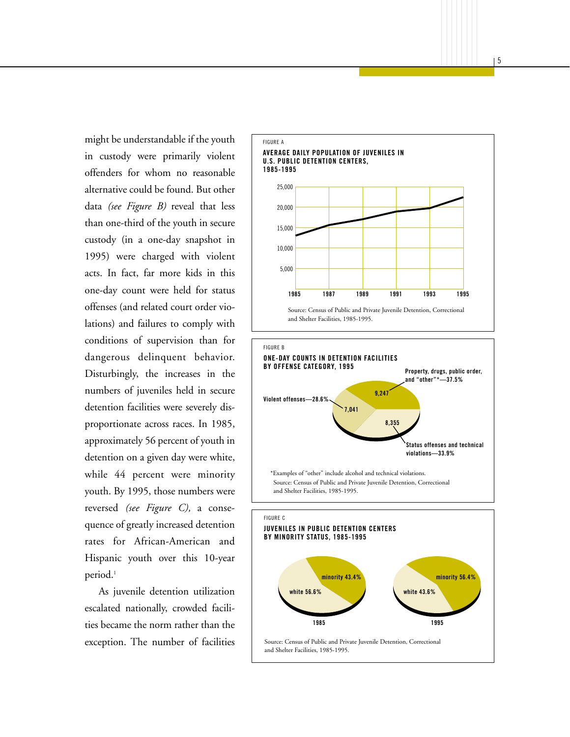might be understandable if the youth in custody were primarily violent offenders for whom no reasonable alternative could be found. But other data *(see Figure B)* reveal that less than one-third of the youth in secure custody (in a one-day snapshot in 1995) were charged with violent acts. In fact, far more kids in this one-day count were held for status offenses (and related court order violations) and failures to comply with conditions of supervision than for dangerous delinquent behavior. Disturbingly, the increases in the numbers of juveniles held in secure detention facilities were severely disproportionate across races. In 1985, approximately 56 percent of youth in detention on a given day were white, while 44 percent were minority youth. By 1995, those numbers were reversed *(see Figure C),* a consequence of greatly increased detention rates for African-American and Hispanic youth over this 10-year period.<sup>1</sup>

As juvenile detention utilization escalated nationally, crowded facilities became the norm rather than the exception. The number of facilities

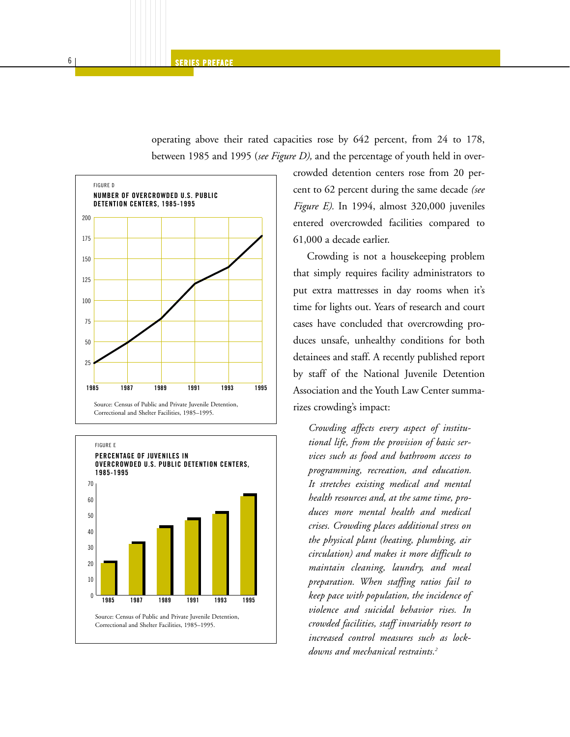operating above their rated capacities rose by 642 percent, from 24 to 178, between 1985 and 1995 (*see Figure D),* and the percentage of youth held in over-





crowded detention centers rose from 20 percent to 62 percent during the same decade *(see Figure E).* In 1994, almost 320,000 juveniles entered overcrowded facilities compared to 61,000 a decade earlier.

Crowding is not a housekeeping problem that simply requires facility administrators to put extra mattresses in day rooms when it's time for lights out. Years of research and court cases have concluded that overcrowding produces unsafe, unhealthy conditions for both detainees and staff. A recently published report by staff of the National Juvenile Detention Association and the Youth Law Center summarizes crowding's impact:

*Crowding affects every aspect of institutional life, from the provision of basic services such as food and bathroom access to programming, recreation, and education. It stretches existing medical and mental health resources and, at the same time, produces more mental health and medical crises. Crowding places additional stress on the physical plant (heating, plumbing, air circulation) and makes it more difficult to maintain cleaning, laundry, and meal preparation. When staffing ratios fail to keep pace with population, the incidence of violence and suicidal behavior rises. In crowded facilities, staff invariably resort to increased control measures such as lockdowns and mechanical restraints.2*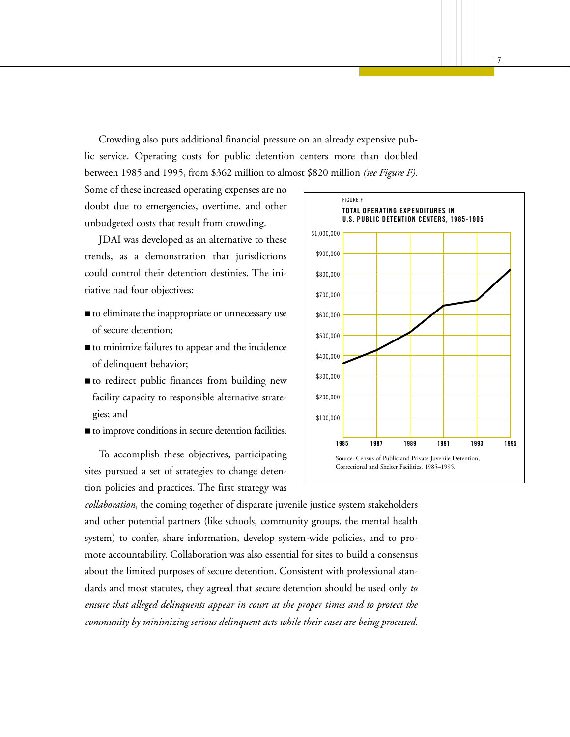Crowding also puts additional financial pressure on an already expensive public service. Operating costs for public detention centers more than doubled between 1985 and 1995, from \$362 million to almost \$820 million *(see Figure F).*

Some of these increased operating expenses are no doubt due to emergencies, overtime, and other unbudgeted costs that result from crowding.

JDAI was developed as an alternative to these trends, as a demonstration that jurisdictions could control their detention destinies. The initiative had four objectives:

- to eliminate the inappropriate or unnecessary use of secure detention;
- to minimize failures to appear and the incidence of delinquent behavior;
- to redirect public finances from building new facility capacity to responsible alternative strategies; and
- to improve conditions in secure detention facilities.

To accomplish these objectives, participating sites pursued a set of strategies to change detention policies and practices. The first strategy was

*collaboration,* the coming together of disparate juvenile justice system stakeholders and other potential partners (like schools, community groups, the mental health system) to confer, share information, develop system-wide policies, and to promote accountability. Collaboration was also essential for sites to build a consensus about the limited purposes of secure detention. Consistent with professional standards and most statutes, they agreed that secure detention should be used only *to ensure that alleged delinquents appear in court at the proper times and to protect the community by minimizing serious delinquent acts while their cases are being processed.*

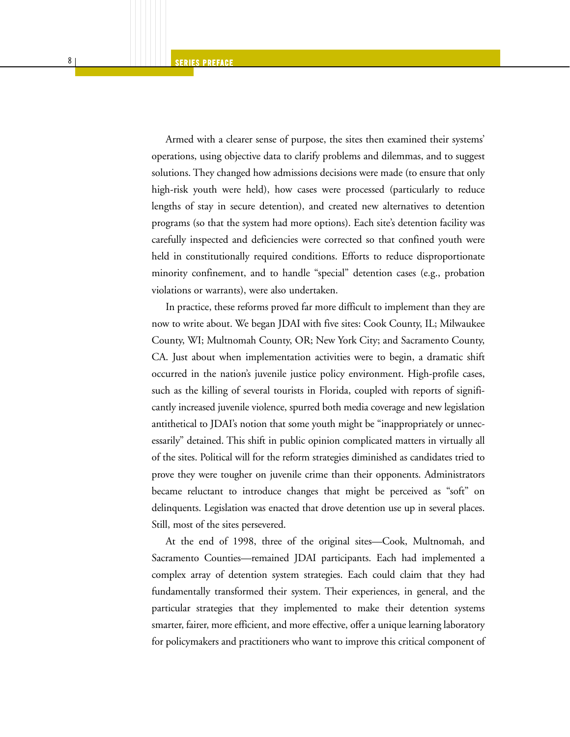Armed with a clearer sense of purpose, the sites then examined their systems' operations, using objective data to clarify problems and dilemmas, and to suggest solutions. They changed how admissions decisions were made (to ensure that only high-risk youth were held), how cases were processed (particularly to reduce lengths of stay in secure detention), and created new alternatives to detention programs (so that the system had more options). Each site's detention facility was carefully inspected and deficiencies were corrected so that confined youth were held in constitutionally required conditions. Efforts to reduce disproportionate minority confinement, and to handle "special" detention cases (e.g., probation violations or warrants), were also undertaken.

In practice, these reforms proved far more difficult to implement than they are now to write about. We began JDAI with five sites: Cook County, IL; Milwaukee County, WI; Multnomah County, OR; New York City; and Sacramento County, CA. Just about when implementation activities were to begin, a dramatic shift occurred in the nation's juvenile justice policy environment. High-profile cases, such as the killing of several tourists in Florida, coupled with reports of significantly increased juvenile violence, spurred both media coverage and new legislation antithetical to JDAI's notion that some youth might be "inappropriately or unnecessarily" detained. This shift in public opinion complicated matters in virtually all of the sites. Political will for the reform strategies diminished as candidates tried to prove they were tougher on juvenile crime than their opponents. Administrators became reluctant to introduce changes that might be perceived as "soft" on delinquents. Legislation was enacted that drove detention use up in several places. Still, most of the sites persevered.

At the end of 1998, three of the original sites—Cook, Multnomah, and Sacramento Counties—remained JDAI participants. Each had implemented a complex array of detention system strategies. Each could claim that they had fundamentally transformed their system. Their experiences, in general, and the particular strategies that they implemented to make their detention systems smarter, fairer, more efficient, and more effective, offer a unique learning laboratory for policymakers and practitioners who want to improve this critical component of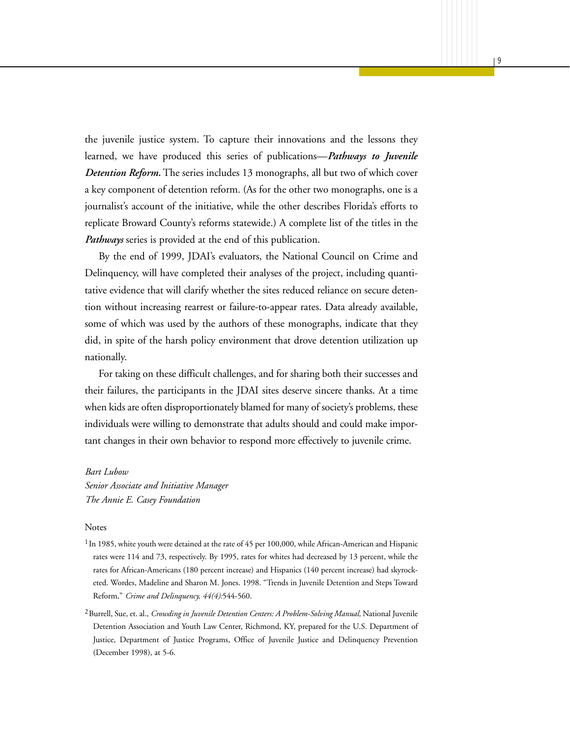the juvenile justice system. To capture their innovations and the lessons they learned, we have produced this series of publications—*Pathways to Juvenile Detention Reform.* The series includes 13 monographs, all but two of which cover a key component of detention reform. (As for the other two monographs, one is a journalist's account of the initiative, while the other describes Florida's efforts to replicate Broward County's reforms statewide.) A complete list of the titles in the *Pathways* series is provided at the end of this publication.

By the end of 1999, JDAI's evaluators, the National Council on Crime and Delinquency, will have completed their analyses of the project, including quantitative evidence that will clarify whether the sites reduced reliance on secure detention without increasing rearrest or failure-to-appear rates. Data already available, some of which was used by the authors of these monographs, indicate that they did, in spite of the harsh policy environment that drove detention utilization up nationally.

For taking on these difficult challenges, and for sharing both their successes and their failures, the participants in the JDAI sites deserve sincere thanks. At a time when kids are often disproportionately blamed for many of society's problems, these individuals were willing to demonstrate that adults should and could make important changes in their own behavior to respond more effectively to juvenile crime.

#### *Bart Lubow*

*Senior Associate and Initiative Manager The Annie E. Casey Foundation*

#### Notes

- $1$ In 1985, white youth were detained at the rate of 45 per 100,000, while African-American and Hispanic rates were 114 and 73, respectively. By 1995, rates for whites had decreased by 13 percent, while the rates for African-Americans (180 percent increase) and Hispanics (140 percent increase) had skyrocketed. Wordes, Madeline and Sharon M. Jones. 1998. "Trends in Juvenile Detention and Steps Toward Reform," *Crime and Delinquency, 44(4):*544-560.
- <sup>2</sup> Burrell, Sue, et. al., *Crowding in Juvenile Detention Centers: A Problem-Solving Manual*, National Juvenile Detention Association and Youth Law Center, Richmond, KY, prepared for the U.S. Department of Justice, Department of Justice Programs, Office of Juvenile Justice and Delinquency Prevention (December 1998), at 5-6.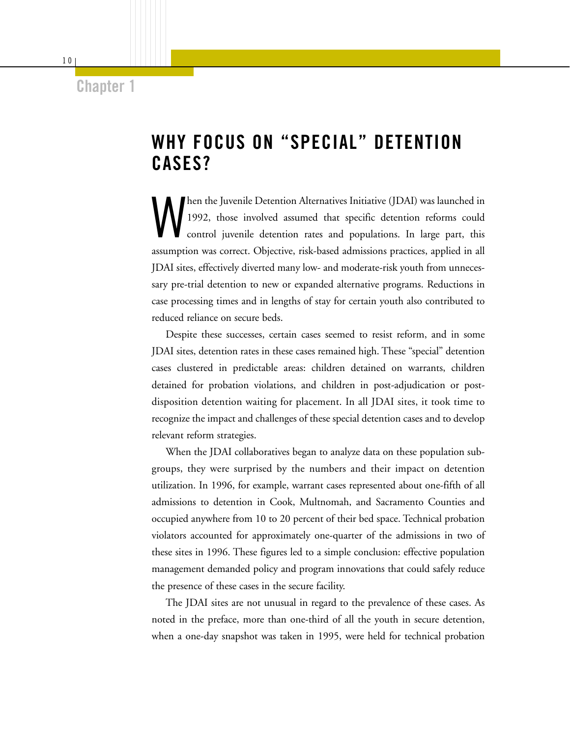### **Chapter 1**

# **WHY FOCUS ON "SPECIAL" DETENTION CASES?**

When the Juvenile Detention Alternatives Initiative (JDAI) was launched in 1992, those involved assumed that specific detention reforms could control juvenile detention rates and populations. In large part, this 1992, those involved assumed that specific detention reforms could control juvenile detention rates and populations. In large part, this assumption was correct. Objective, risk-based admissions practices, applied in all JDAI sites, effectively diverted many low- and moderate-risk youth from unnecessary pre-trial detention to new or expanded alternative programs. Reductions in case processing times and in lengths of stay for certain youth also contributed to reduced reliance on secure beds.

Despite these successes, certain cases seemed to resist reform, and in some JDAI sites, detention rates in these cases remained high. These "special" detention cases clustered in predictable areas: children detained on warrants, children detained for probation violations, and children in post-adjudication or postdisposition detention waiting for placement. In all JDAI sites, it took time to recognize the impact and challenges of these special detention cases and to develop relevant reform strategies.

When the JDAI collaboratives began to analyze data on these population subgroups, they were surprised by the numbers and their impact on detention utilization. In 1996, for example, warrant cases represented about one-fifth of all admissions to detention in Cook, Multnomah, and Sacramento Counties and occupied anywhere from 10 to 20 percent of their bed space. Technical probation violators accounted for approximately one-quarter of the admissions in two of these sites in 1996. These figures led to a simple conclusion: effective population management demanded policy and program innovations that could safely reduce the presence of these cases in the secure facility.

The JDAI sites are not unusual in regard to the prevalence of these cases. As noted in the preface, more than one-third of all the youth in secure detention, when a one-day snapshot was taken in 1995, were held for technical probation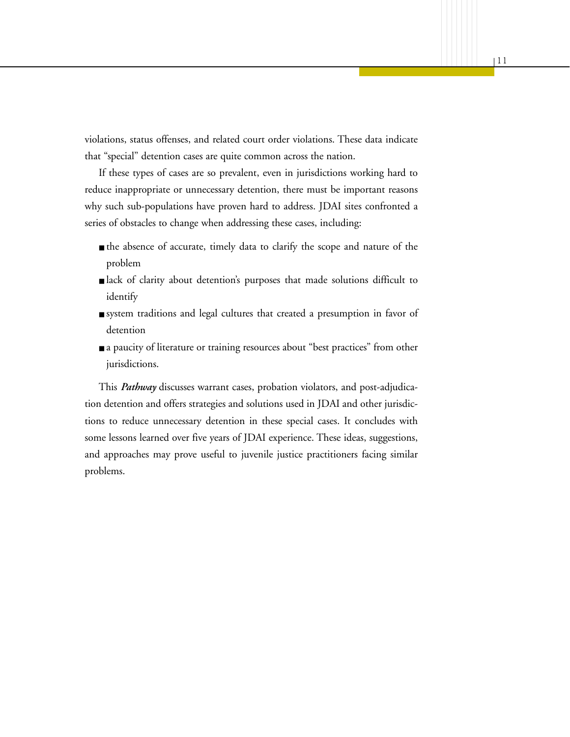violations, status offenses, and related court order violations. These data indicate that "special" detention cases are quite common across the nation.

If these types of cases are so prevalent, even in jurisdictions working hard to reduce inappropriate or unnecessary detention, there must be important reasons why such sub-populations have proven hard to address. JDAI sites confronted a series of obstacles to change when addressing these cases, including:

- the absence of accurate, timely data to clarify the scope and nature of the problem
- lack of clarity about detention's purposes that made solutions difficult to identify
- system traditions and legal cultures that created a presumption in favor of detention
- a paucity of literature or training resources about "best practices" from other jurisdictions.

This *Pathway* discusses warrant cases, probation violators, and post-adjudication detention and offers strategies and solutions used in JDAI and other jurisdictions to reduce unnecessary detention in these special cases. It concludes with some lessons learned over five years of JDAI experience. These ideas, suggestions, and approaches may prove useful to juvenile justice practitioners facing similar problems.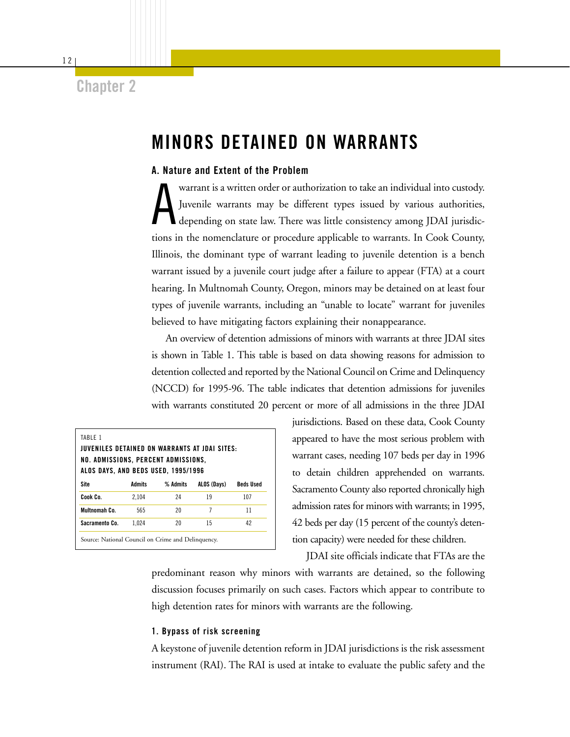## **Chapter 2**

# **MINORS DETAINED ON WARRANTS**

#### **A. Nature and Extent of the Problem**

A warrant is a written order or authorization to take an individual into custody. Juvenile warrants may be different types issued by various authorities, depending on state law. There was little consistency among JDAI jurisdictions in the nomenclature or procedure applicable to warrants. In Cook County, Illinois, the dominant type of warrant leading to juvenile detention is a bench warrant issued by a juvenile court judge after a failure to appear (FTA) at a court hearing. In Multnomah County, Oregon, minors may be detained on at least four types of juvenile warrants, including an "unable to locate" warrant for juveniles believed to have mitigating factors explaining their nonappearance.

An overview of detention admissions of minors with warrants at three JDAI sites is shown in Table 1. This table is based on data showing reasons for admission to detention collected and reported by the National Council on Crime and Delinquency (NCCD) for 1995-96. The table indicates that detention admissions for juveniles with warrants constituted 20 percent or more of all admissions in the three JDAI

| <b>JUVENILES DETAINED ON WARRANTS AT JDAI SITES:</b><br>NO. ADMISSIONS, PERCENT ADMISSIONS,<br><b>ALOS DAYS, AND BEDS USED, 1995/1996</b> |               |          |             |                  |
|-------------------------------------------------------------------------------------------------------------------------------------------|---------------|----------|-------------|------------------|
| Site                                                                                                                                      | <b>Admits</b> | % Admits | ALOS (Days) | <b>Beds Used</b> |
| Cook Co.                                                                                                                                  | 2.104         | 24       | 19          | 107              |
| Multnomah Co.                                                                                                                             | 565           | 20       | 7           | 11               |
| Sacramento Co.                                                                                                                            | 1.024         | 20       | 15          | 42               |

jurisdictions. Based on these data, Cook County appeared to have the most serious problem with warrant cases, needing 107 beds per day in 1996 to detain children apprehended on warrants. Sacramento County also reported chronically high admission rates for minors with warrants; in 1995, 42 beds per day (15 percent of the county's detention capacity) were needed for these children.

JDAI site officials indicate that FTAs are the

predominant reason why minors with warrants are detained, so the following discussion focuses primarily on such cases. Factors which appear to contribute to high detention rates for minors with warrants are the following.

#### **1. Bypass of risk screening**

A keystone of juvenile detention reform in JDAI jurisdictions is the risk assessment instrument (RAI). The RAI is used at intake to evaluate the public safety and the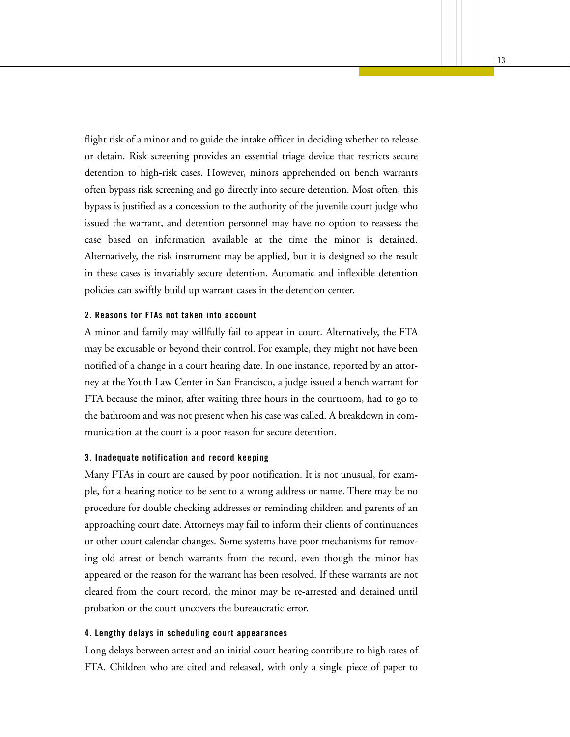flight risk of a minor and to guide the intake officer in deciding whether to release or detain. Risk screening provides an essential triage device that restricts secure detention to high-risk cases. However, minors apprehended on bench warrants often bypass risk screening and go directly into secure detention. Most often, this bypass is justified as a concession to the authority of the juvenile court judge who issued the warrant, and detention personnel may have no option to reassess the case based on information available at the time the minor is detained. Alternatively, the risk instrument may be applied, but it is designed so the result in these cases is invariably secure detention. Automatic and inflexible detention policies can swiftly build up warrant cases in the detention center.

#### **2. Reasons for FTAs not taken into account**

A minor and family may willfully fail to appear in court. Alternatively, the FTA may be excusable or beyond their control. For example, they might not have been notified of a change in a court hearing date. In one instance, reported by an attorney at the Youth Law Center in San Francisco, a judge issued a bench warrant for FTA because the minor, after waiting three hours in the courtroom, had to go to the bathroom and was not present when his case was called. A breakdown in communication at the court is a poor reason for secure detention.

#### **3. Inadequate notification and record keeping**

Many FTAs in court are caused by poor notification. It is not unusual, for example, for a hearing notice to be sent to a wrong address or name. There may be no procedure for double checking addresses or reminding children and parents of an approaching court date. Attorneys may fail to inform their clients of continuances or other court calendar changes. Some systems have poor mechanisms for removing old arrest or bench warrants from the record, even though the minor has appeared or the reason for the warrant has been resolved. If these warrants are not cleared from the court record, the minor may be re-arrested and detained until probation or the court uncovers the bureaucratic error.

#### **4. Lengthy delays in scheduling court appearances**

Long delays between arrest and an initial court hearing contribute to high rates of FTA. Children who are cited and released, with only a single piece of paper to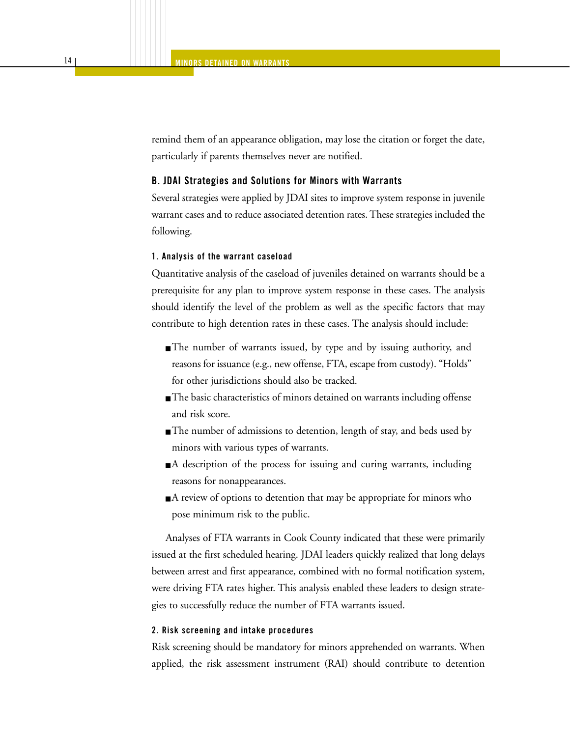remind them of an appearance obligation, may lose the citation or forget the date, particularly if parents themselves never are notified.

#### **B. JDAI Strategies and Solutions for Minors with Warrants**

Several strategies were applied by JDAI sites to improve system response in juvenile warrant cases and to reduce associated detention rates. These strategies included the following.

#### **1. Analysis of the warrant caseload**

Quantitative analysis of the caseload of juveniles detained on warrants should be a prerequisite for any plan to improve system response in these cases. The analysis should identify the level of the problem as well as the specific factors that may contribute to high detention rates in these cases. The analysis should include:

- The number of warrants issued, by type and by issuing authority, and reasons for issuance (e.g., new offense, FTA, escape from custody). "Holds" for other jurisdictions should also be tracked.
- The basic characteristics of minors detained on warrants including offense and risk score.
- The number of admissions to detention, length of stay, and beds used by minors with various types of warrants.
- A description of the process for issuing and curing warrants, including reasons for nonappearances.
- A review of options to detention that may be appropriate for minors who pose minimum risk to the public.

Analyses of FTA warrants in Cook County indicated that these were primarily issued at the first scheduled hearing. JDAI leaders quickly realized that long delays between arrest and first appearance, combined with no formal notification system, were driving FTA rates higher. This analysis enabled these leaders to design strategies to successfully reduce the number of FTA warrants issued.

#### **2. Risk screening and intake procedures**

Risk screening should be mandatory for minors apprehended on warrants. When applied, the risk assessment instrument (RAI) should contribute to detention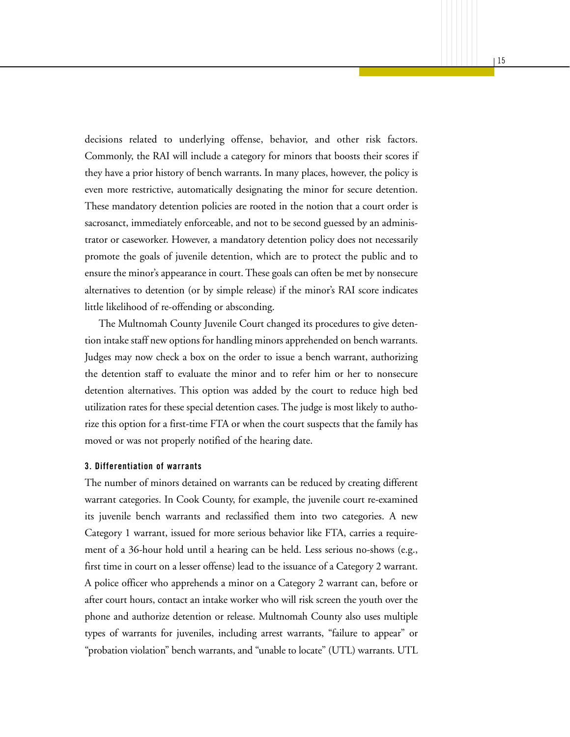decisions related to underlying offense, behavior, and other risk factors. Commonly, the RAI will include a category for minors that boosts their scores if they have a prior history of bench warrants. In many places, however, the policy is even more restrictive, automatically designating the minor for secure detention. These mandatory detention policies are rooted in the notion that a court order is sacrosanct, immediately enforceable, and not to be second guessed by an administrator or caseworker. However, a mandatory detention policy does not necessarily promote the goals of juvenile detention, which are to protect the public and to ensure the minor's appearance in court. These goals can often be met by nonsecure alternatives to detention (or by simple release) if the minor's RAI score indicates little likelihood of re-offending or absconding.

The Multnomah County Juvenile Court changed its procedures to give detention intake staff new options for handling minors apprehended on bench warrants. Judges may now check a box on the order to issue a bench warrant, authorizing the detention staff to evaluate the minor and to refer him or her to nonsecure detention alternatives. This option was added by the court to reduce high bed utilization rates for these special detention cases. The judge is most likely to authorize this option for a first-time FTA or when the court suspects that the family has moved or was not properly notified of the hearing date.

#### **3. Differentiation of warrants**

The number of minors detained on warrants can be reduced by creating different warrant categories. In Cook County, for example, the juvenile court re-examined its juvenile bench warrants and reclassified them into two categories. A new Category 1 warrant, issued for more serious behavior like FTA, carries a requirement of a 36-hour hold until a hearing can be held. Less serious no-shows (e.g., first time in court on a lesser offense) lead to the issuance of a Category 2 warrant. A police officer who apprehends a minor on a Category 2 warrant can, before or after court hours, contact an intake worker who will risk screen the youth over the phone and authorize detention or release. Multnomah County also uses multiple types of warrants for juveniles, including arrest warrants, "failure to appear" or "probation violation" bench warrants, and "unable to locate" (UTL) warrants. UTL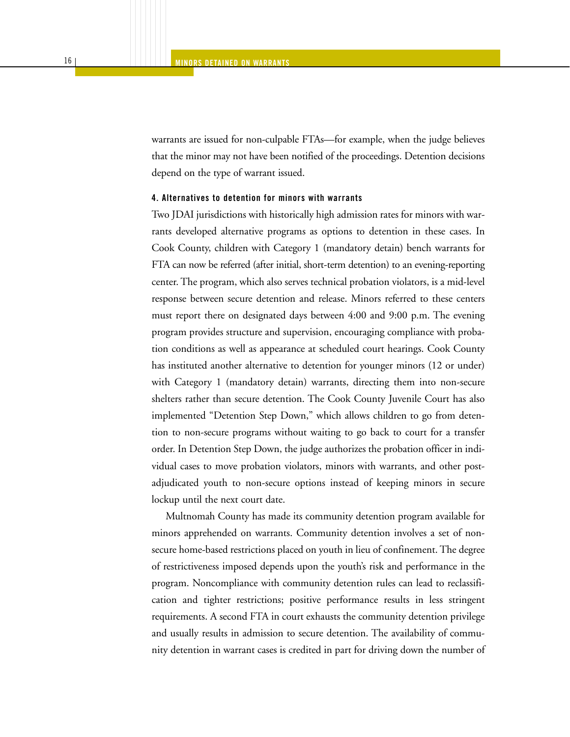warrants are issued for non-culpable FTAs—for example, when the judge believes that the minor may not have been notified of the proceedings. Detention decisions depend on the type of warrant issued.

#### **4. Alternatives to detention for minors with warrants**

Two JDAI jurisdictions with historically high admission rates for minors with warrants developed alternative programs as options to detention in these cases. In Cook County, children with Category 1 (mandatory detain) bench warrants for FTA can now be referred (after initial, short-term detention) to an evening-reporting center. The program, which also serves technical probation violators, is a mid-level response between secure detention and release. Minors referred to these centers must report there on designated days between 4:00 and 9:00 p.m. The evening program provides structure and supervision, encouraging compliance with probation conditions as well as appearance at scheduled court hearings. Cook County has instituted another alternative to detention for younger minors (12 or under) with Category 1 (mandatory detain) warrants, directing them into non-secure shelters rather than secure detention. The Cook County Juvenile Court has also implemented "Detention Step Down," which allows children to go from detention to non-secure programs without waiting to go back to court for a transfer order. In Detention Step Down, the judge authorizes the probation officer in individual cases to move probation violators, minors with warrants, and other postadjudicated youth to non-secure options instead of keeping minors in secure lockup until the next court date.

Multnomah County has made its community detention program available for minors apprehended on warrants. Community detention involves a set of nonsecure home-based restrictions placed on youth in lieu of confinement. The degree of restrictiveness imposed depends upon the youth's risk and performance in the program. Noncompliance with community detention rules can lead to reclassification and tighter restrictions; positive performance results in less stringent requirements. A second FTA in court exhausts the community detention privilege and usually results in admission to secure detention. The availability of community detention in warrant cases is credited in part for driving down the number of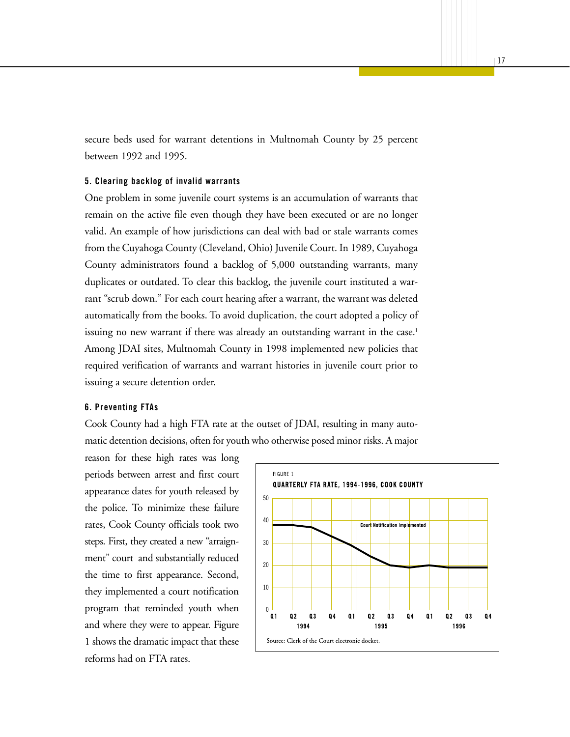secure beds used for warrant detentions in Multnomah County by 25 percent between 1992 and 1995.

#### **5. Clearing backlog of invalid warrants**

One problem in some juvenile court systems is an accumulation of warrants that remain on the active file even though they have been executed or are no longer valid. An example of how jurisdictions can deal with bad or stale warrants comes from the Cuyahoga County (Cleveland, Ohio) Juvenile Court. In 1989, Cuyahoga County administrators found a backlog of 5,000 outstanding warrants, many duplicates or outdated. To clear this backlog, the juvenile court instituted a warrant "scrub down." For each court hearing after a warrant, the warrant was deleted automatically from the books. To avoid duplication, the court adopted a policy of issuing no new warrant if there was already an outstanding warrant in the case.<sup>1</sup> Among JDAI sites, Multnomah County in 1998 implemented new policies that required verification of warrants and warrant histories in juvenile court prior to issuing a secure detention order.

#### **6. Preventing FTAs**

Cook County had a high FTA rate at the outset of JDAI, resulting in many automatic detention decisions, often for youth who otherwise posed minor risks. A major

reason for these high rates was long periods between arrest and first court appearance dates for youth released by the police. To minimize these failure rates, Cook County officials took two steps. First, they created a new "arraignment" court and substantially reduced the time to first appearance. Second, they implemented a court notification program that reminded youth when and where they were to appear. Figure 1 shows the dramatic impact that these reforms had on FTA rates.

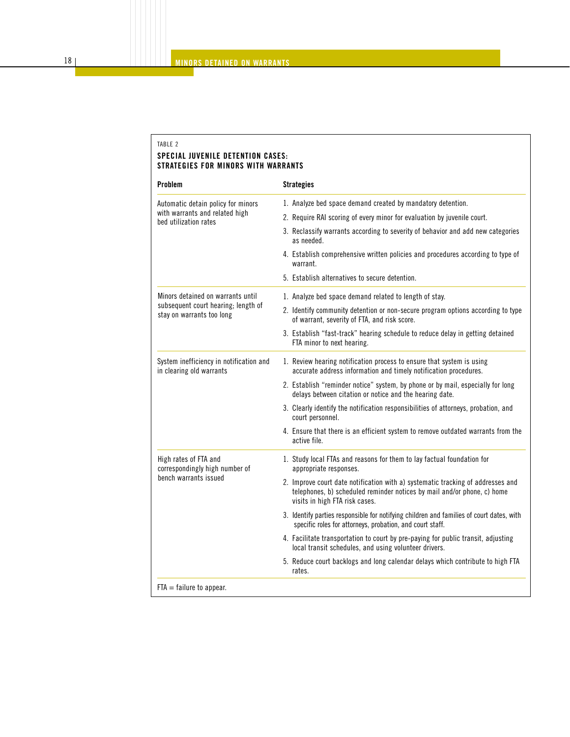#### TABLE 2 **SPECIAL JUVENILE DETENTION CASES: STRATEGIES FOR MINORS WITH WARRANTS**

| <b>Problem</b>                                                      | <b>Strategies</b>                                                                                                                                                                            |  |  |  |  |
|---------------------------------------------------------------------|----------------------------------------------------------------------------------------------------------------------------------------------------------------------------------------------|--|--|--|--|
| Automatic detain policy for minors                                  | 1. Analyze bed space demand created by mandatory detention.                                                                                                                                  |  |  |  |  |
| with warrants and related high<br>bed utilization rates             | 2. Require RAI scoring of every minor for evaluation by juvenile court.                                                                                                                      |  |  |  |  |
|                                                                     | 3. Reclassify warrants according to severity of behavior and add new categories<br>as needed.                                                                                                |  |  |  |  |
|                                                                     | 4. Establish comprehensive written policies and procedures according to type of<br>warrant.                                                                                                  |  |  |  |  |
|                                                                     | 5. Establish alternatives to secure detention.                                                                                                                                               |  |  |  |  |
| Minors detained on warrants until                                   | 1. Analyze bed space demand related to length of stay.                                                                                                                                       |  |  |  |  |
| subsequent court hearing; length of<br>stay on warrants too long    | 2. Identify community detention or non-secure program options according to type<br>of warrant, severity of FTA, and risk score.                                                              |  |  |  |  |
|                                                                     | 3. Establish "fast-track" hearing schedule to reduce delay in getting detained<br>FTA minor to next hearing.                                                                                 |  |  |  |  |
| System inefficiency in notification and<br>in clearing old warrants | 1. Review hearing notification process to ensure that system is using<br>accurate address information and timely notification procedures.                                                    |  |  |  |  |
|                                                                     | 2. Establish "reminder notice" system, by phone or by mail, especially for long<br>delays between citation or notice and the hearing date.                                                   |  |  |  |  |
|                                                                     | 3. Clearly identify the notification responsibilities of attorneys, probation, and<br>court personnel.                                                                                       |  |  |  |  |
|                                                                     | 4. Ensure that there is an efficient system to remove outdated warrants from the<br>active file.                                                                                             |  |  |  |  |
| High rates of FTA and<br>correspondingly high number of             | 1. Study local FTAs and reasons for them to lay factual foundation for<br>appropriate responses.                                                                                             |  |  |  |  |
| bench warrants issued                                               | 2. Improve court date notification with a) systematic tracking of addresses and<br>telephones, b) scheduled reminder notices by mail and/or phone, c) home<br>visits in high FTA risk cases. |  |  |  |  |
|                                                                     | 3. Identify parties responsible for notifying children and families of court dates, with<br>specific roles for attorneys, probation, and court staff.                                        |  |  |  |  |
|                                                                     | 4. Facilitate transportation to court by pre-paying for public transit, adjusting<br>local transit schedules, and using volunteer drivers.                                                   |  |  |  |  |
|                                                                     | 5. Reduce court backlogs and long calendar delays which contribute to high FTA<br>rates.                                                                                                     |  |  |  |  |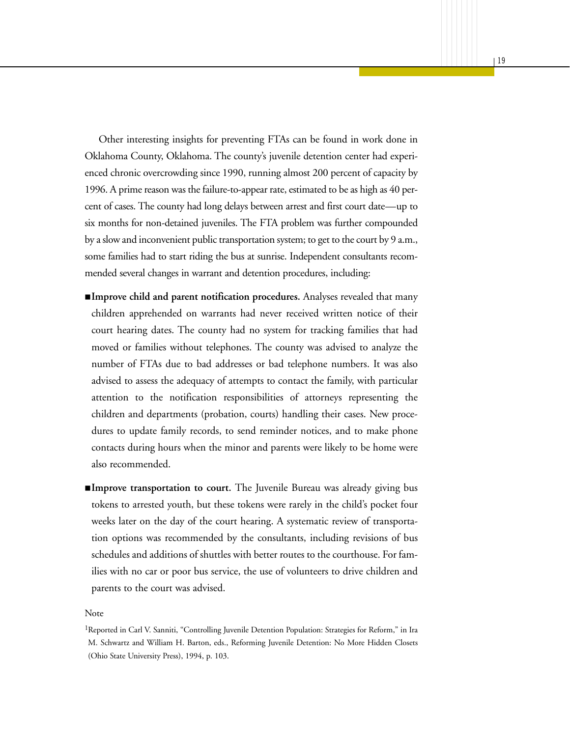Other interesting insights for preventing FTAs can be found in work done in Oklahoma County, Oklahoma. The county's juvenile detention center had experienced chronic overcrowding since 1990, running almost 200 percent of capacity by 1996. A prime reason was the failure-to-appear rate, estimated to be as high as 40 percent of cases. The county had long delays between arrest and first court date—up to six months for non-detained juveniles. The FTA problem was further compounded by a slow and inconvenient public transportation system; to get to the court by 9 a.m., some families had to start riding the bus at sunrise. Independent consultants recommended several changes in warrant and detention procedures, including:

**MINORS DETAINED ON WARRANTS**

- **Improve child and parent notification procedures.** Analyses revealed that many children apprehended on warrants had never received written notice of their court hearing dates. The county had no system for tracking families that had moved or families without telephones. The county was advised to analyze the number of FTAs due to bad addresses or bad telephone numbers. It was also advised to assess the adequacy of attempts to contact the family, with particular attention to the notification responsibilities of attorneys representing the children and departments (probation, courts) handling their cases. New procedures to update family records, to send reminder notices, and to make phone contacts during hours when the minor and parents were likely to be home were also recommended.
- **Improve transportation to court.** The Juvenile Bureau was already giving bus tokens to arrested youth, but these tokens were rarely in the child's pocket four weeks later on the day of the court hearing. A systematic review of transportation options was recommended by the consultants, including revisions of bus schedules and additions of shuttles with better routes to the courthouse. For families with no car or poor bus service, the use of volunteers to drive children and parents to the court was advised.

#### Note

<sup>&</sup>lt;sup>1</sup>Reported in Carl V. Sanniti, "Controlling Juvenile Detention Population: Strategies for Reform," in Ira M. Schwartz and William H. Barton, eds., Reforming Juvenile Detention: No More Hidden Closets (Ohio State University Press), 1994, p. 103.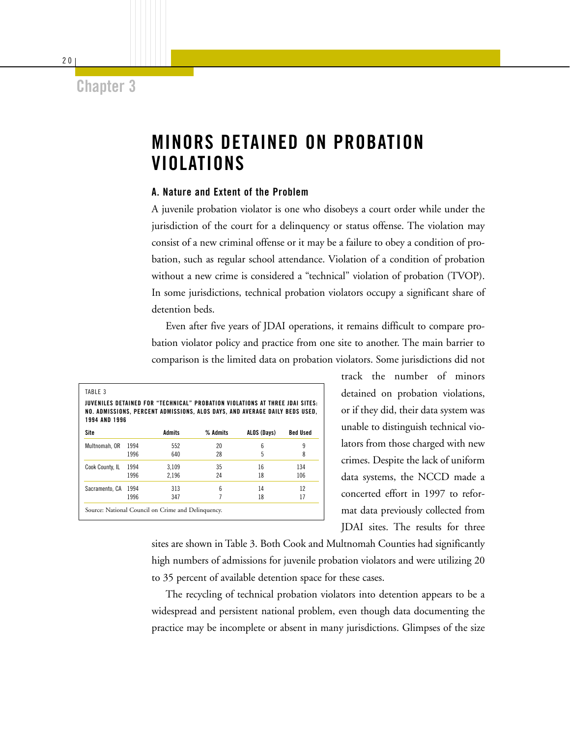## **Chapter 3**

# **MINORS DETAINED ON PROBATION VIOLATIONS**

#### **A. Nature and Extent of the Problem**

A juvenile probation violator is one who disobeys a court order while under the jurisdiction of the court for a delinquency or status offense. The violation may consist of a new criminal offense or it may be a failure to obey a condition of probation, such as regular school attendance. Violation of a condition of probation without a new crime is considered a "technical" violation of probation (TVOP). In some jurisdictions, technical probation violators occupy a significant share of detention beds.

Even after five years of JDAI operations, it remains difficult to compare probation violator policy and practice from one site to another. The main barrier to comparison is the limited data on probation violators. Some jurisdictions did not

| <b>1994 AND 1996</b> |      |               | JUVENILES DETAINED FOR "TECHNICAL" PROBATION VIOLATIONS AT THREE JDAI SITES:<br>NO. ADMISSIONS, PERCENT ADMISSIONS, ALOS DAYS, AND AVERAGE DAILY BEDS USED, |             |                 |
|----------------------|------|---------------|-------------------------------------------------------------------------------------------------------------------------------------------------------------|-------------|-----------------|
| Site                 |      | <b>Admits</b> | % Admits                                                                                                                                                    | ALOS (Days) | <b>Bed Used</b> |
| Multnomah, OR        | 1994 | 552           | 20                                                                                                                                                          | 6           | 9               |
|                      | 1996 | 640           | 28                                                                                                                                                          | 5           | 8               |
| Cook County, IL      | 1994 | 3.109         | 35                                                                                                                                                          | 16          | 134             |
|                      | 1996 | 2.196         | 24                                                                                                                                                          | 18          | 106             |
| Sacramento, CA       | 1994 | 313           | 6                                                                                                                                                           | 14          | 12              |
|                      | 1996 | 347           |                                                                                                                                                             | 18          | 17              |

track the number of minors detained on probation violations, or if they did, their data system was unable to distinguish technical violators from those charged with new crimes. Despite the lack of uniform data systems, the NCCD made a concerted effort in 1997 to reformat data previously collected from JDAI sites. The results for three

sites are shown in Table 3. Both Cook and Multnomah Counties had significantly high numbers of admissions for juvenile probation violators and were utilizing 20 to 35 percent of available detention space for these cases.

The recycling of technical probation violators into detention appears to be a widespread and persistent national problem, even though data documenting the practice may be incomplete or absent in many jurisdictions. Glimpses of the size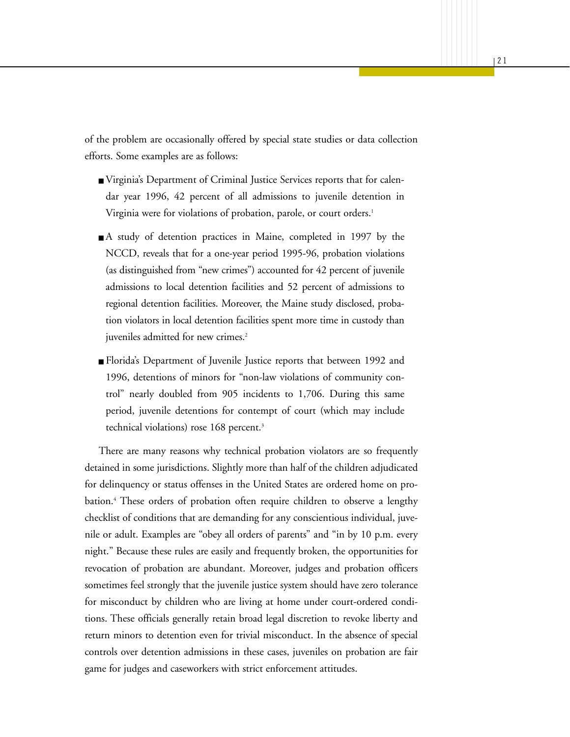of the problem are occasionally offered by special state studies or data collection efforts. Some examples are as follows:

- Virginia's Department of Criminal Justice Services reports that for calendar year 1996, 42 percent of all admissions to juvenile detention in Virginia were for violations of probation, parole, or court orders.<sup>1</sup>
- A study of detention practices in Maine, completed in 1997 by the NCCD, reveals that for a one-year period 1995-96, probation violations (as distinguished from "new crimes") accounted for 42 percent of juvenile admissions to local detention facilities and 52 percent of admissions to regional detention facilities. Moreover, the Maine study disclosed, probation violators in local detention facilities spent more time in custody than juveniles admitted for new crimes.<sup>2</sup>
- Florida's Department of Juvenile Justice reports that between 1992 and 1996, detentions of minors for "non-law violations of community control" nearly doubled from 905 incidents to 1,706. During this same period, juvenile detentions for contempt of court (which may include technical violations) rose 168 percent.<sup>3</sup>

There are many reasons why technical probation violators are so frequently detained in some jurisdictions. Slightly more than half of the children adjudicated for delinquency or status offenses in the United States are ordered home on probation.<sup>4</sup> These orders of probation often require children to observe a lengthy checklist of conditions that are demanding for any conscientious individual, juvenile or adult. Examples are "obey all orders of parents" and "in by 10 p.m. every night." Because these rules are easily and frequently broken, the opportunities for revocation of probation are abundant. Moreover, judges and probation officers sometimes feel strongly that the juvenile justice system should have zero tolerance for misconduct by children who are living at home under court-ordered conditions. These officials generally retain broad legal discretion to revoke liberty and return minors to detention even for trivial misconduct. In the absence of special controls over detention admissions in these cases, juveniles on probation are fair game for judges and caseworkers with strict enforcement attitudes.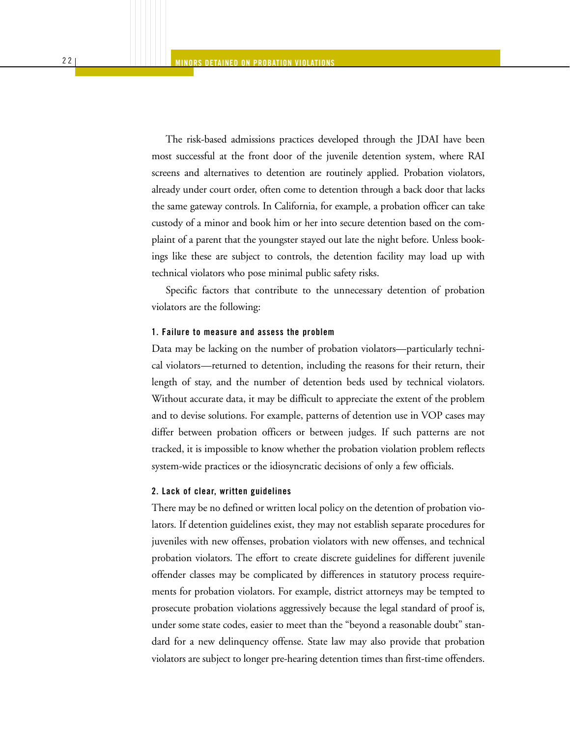The risk-based admissions practices developed through the JDAI have been most successful at the front door of the juvenile detention system, where RAI screens and alternatives to detention are routinely applied. Probation violators, already under court order, often come to detention through a back door that lacks the same gateway controls. In California, for example, a probation officer can take custody of a minor and book him or her into secure detention based on the complaint of a parent that the youngster stayed out late the night before. Unless bookings like these are subject to controls, the detention facility may load up with technical violators who pose minimal public safety risks.

Specific factors that contribute to the unnecessary detention of probation violators are the following:

#### **1. Failure to measure and assess the problem**

Data may be lacking on the number of probation violators—particularly technical violators—returned to detention, including the reasons for their return, their length of stay, and the number of detention beds used by technical violators. Without accurate data, it may be difficult to appreciate the extent of the problem and to devise solutions. For example, patterns of detention use in VOP cases may differ between probation officers or between judges. If such patterns are not tracked, it is impossible to know whether the probation violation problem reflects system-wide practices or the idiosyncratic decisions of only a few officials.

#### **2. Lack of clear, written guidelines**

There may be no defined or written local policy on the detention of probation violators. If detention guidelines exist, they may not establish separate procedures for juveniles with new offenses, probation violators with new offenses, and technical probation violators. The effort to create discrete guidelines for different juvenile offender classes may be complicated by differences in statutory process requirements for probation violators. For example, district attorneys may be tempted to prosecute probation violations aggressively because the legal standard of proof is, under some state codes, easier to meet than the "beyond a reasonable doubt" standard for a new delinquency offense. State law may also provide that probation violators are subject to longer pre-hearing detention times than first-time offenders.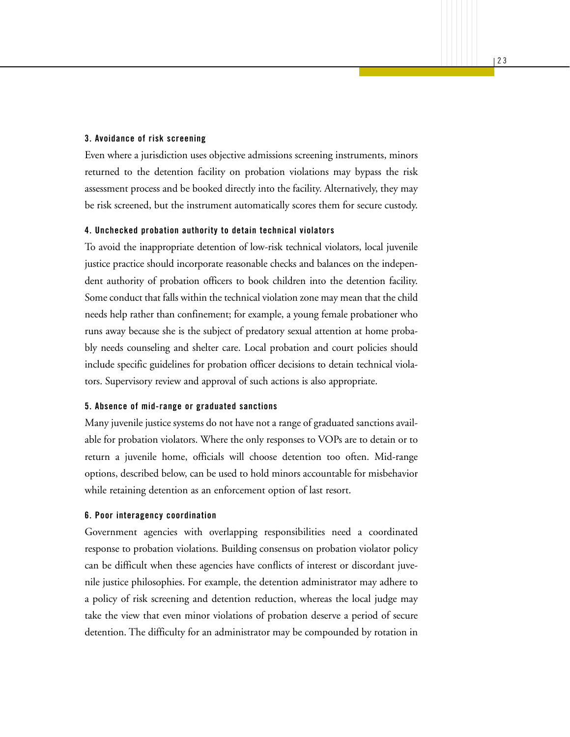#### **3. Avoidance of risk screening**

Even where a jurisdiction uses objective admissions screening instruments, minors returned to the detention facility on probation violations may bypass the risk assessment process and be booked directly into the facility. Alternatively, they may be risk screened, but the instrument automatically scores them for secure custody.

#### **4. Unchecked probation authority to detain technical violators**

To avoid the inappropriate detention of low-risk technical violators, local juvenile justice practice should incorporate reasonable checks and balances on the independent authority of probation officers to book children into the detention facility. Some conduct that falls within the technical violation zone may mean that the child needs help rather than confinement; for example, a young female probationer who runs away because she is the subject of predatory sexual attention at home probably needs counseling and shelter care. Local probation and court policies should include specific guidelines for probation officer decisions to detain technical violators. Supervisory review and approval of such actions is also appropriate.

#### **5. Absence of mid-range or graduated sanctions**

Many juvenile justice systems do not have not a range of graduated sanctions available for probation violators. Where the only responses to VOPs are to detain or to return a juvenile home, officials will choose detention too often. Mid-range options, described below, can be used to hold minors accountable for misbehavior while retaining detention as an enforcement option of last resort.

#### **6. Poor interagency coordination**

Government agencies with overlapping responsibilities need a coordinated response to probation violations. Building consensus on probation violator policy can be difficult when these agencies have conflicts of interest or discordant juvenile justice philosophies. For example, the detention administrator may adhere to a policy of risk screening and detention reduction, whereas the local judge may take the view that even minor violations of probation deserve a period of secure detention. The difficulty for an administrator may be compounded by rotation in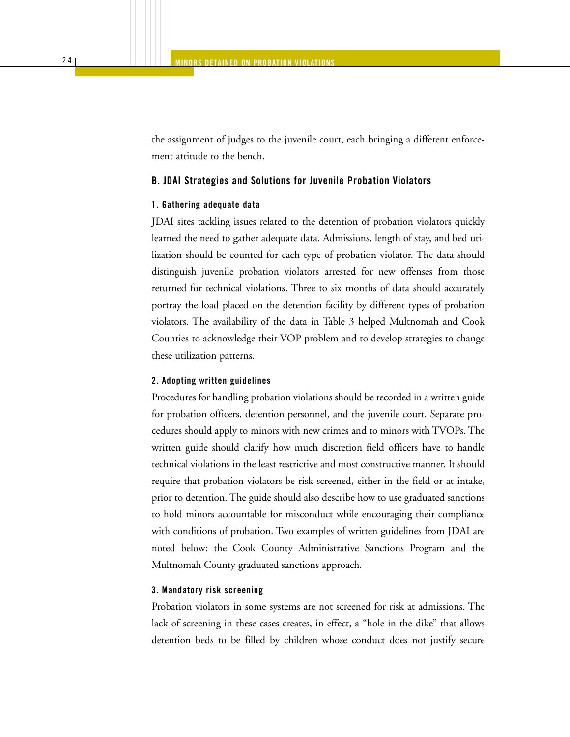the assignment of judges to the juvenile court, each bringing a different enforcement attitude to the bench.

#### **B. JDAI Strategies and Solutions for Juvenile Probation Violators**

#### **1. Gathering adequate data**

JDAI sites tackling issues related to the detention of probation violators quickly learned the need to gather adequate data. Admissions, length of stay, and bed utilization should be counted for each type of probation violator. The data should distinguish juvenile probation violators arrested for new offenses from those returned for technical violations. Three to six months of data should accurately portray the load placed on the detention facility by different types of probation violators. The availability of the data in Table 3 helped Multnomah and Cook Counties to acknowledge their VOP problem and to develop strategies to change these utilization patterns.

#### **2. Adopting written guidelines**

Procedures for handling probation violations should be recorded in a written guide for probation officers, detention personnel, and the juvenile court. Separate procedures should apply to minors with new crimes and to minors with TVOPs. The written guide should clarify how much discretion field officers have to handle technical violations in the least restrictive and most constructive manner. It should require that probation violators be risk screened, either in the field or at intake, prior to detention. The guide should also describe how to use graduated sanctions to hold minors accountable for misconduct while encouraging their compliance with conditions of probation. Two examples of written guidelines from JDAI are noted below: the Cook County Administrative Sanctions Program and the Multnomah County graduated sanctions approach.

#### **3. Mandatory risk screening**

Probation violators in some systems are not screened for risk at admissions. The lack of screening in these cases creates, in effect, a "hole in the dike" that allows detention beds to be filled by children whose conduct does not justify secure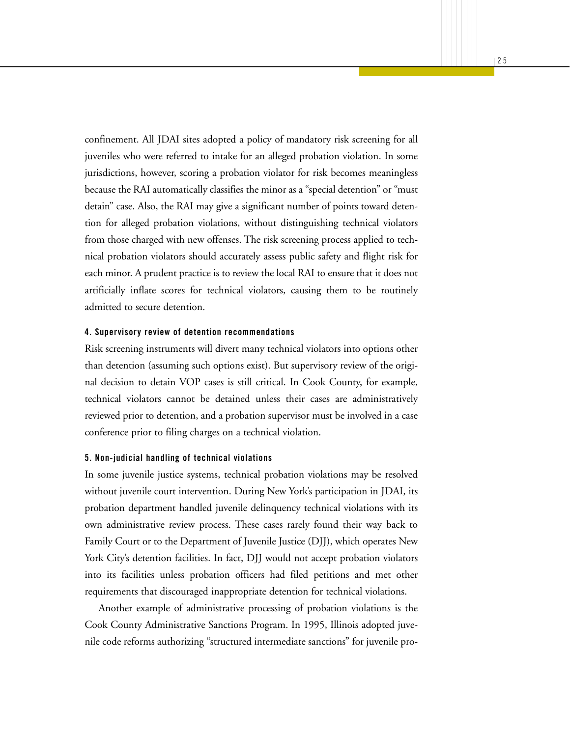confinement. All JDAI sites adopted a policy of mandatory risk screening for all juveniles who were referred to intake for an alleged probation violation. In some jurisdictions, however, scoring a probation violator for risk becomes meaningless because the RAI automatically classifies the minor as a "special detention" or "must detain" case. Also, the RAI may give a significant number of points toward detention for alleged probation violations, without distinguishing technical violators from those charged with new offenses. The risk screening process applied to technical probation violators should accurately assess public safety and flight risk for each minor. A prudent practice is to review the local RAI to ensure that it does not artificially inflate scores for technical violators, causing them to be routinely admitted to secure detention.

#### **4. Supervisory review of detention recommendations**

Risk screening instruments will divert many technical violators into options other than detention (assuming such options exist). But supervisory review of the original decision to detain VOP cases is still critical. In Cook County, for example, technical violators cannot be detained unless their cases are administratively reviewed prior to detention, and a probation supervisor must be involved in a case conference prior to filing charges on a technical violation.

#### **5. Non-judicial handling of technical violations**

In some juvenile justice systems, technical probation violations may be resolved without juvenile court intervention. During New York's participation in JDAI, its probation department handled juvenile delinquency technical violations with its own administrative review process. These cases rarely found their way back to Family Court or to the Department of Juvenile Justice (DJJ), which operates New York City's detention facilities. In fact, DJJ would not accept probation violators into its facilities unless probation officers had filed petitions and met other requirements that discouraged inappropriate detention for technical violations.

Another example of administrative processing of probation violations is the Cook County Administrative Sanctions Program. In 1995, Illinois adopted juvenile code reforms authorizing "structured intermediate sanctions" for juvenile pro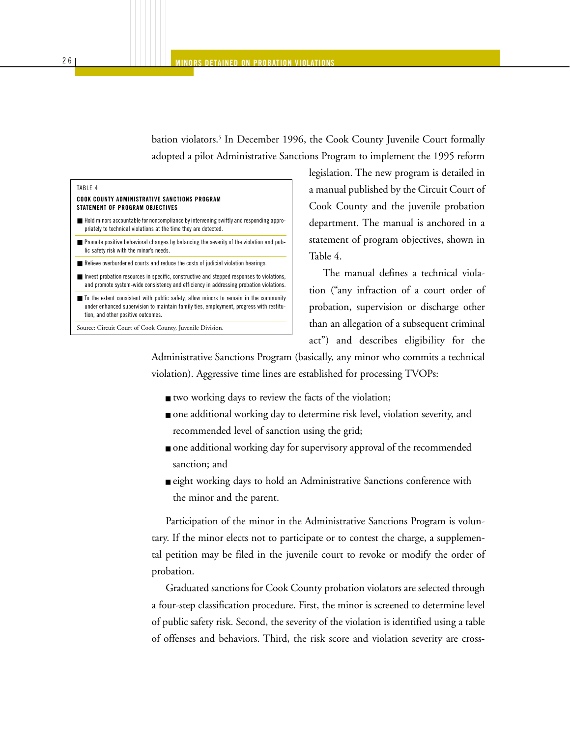bation violators.<sup>5</sup> In December 1996, the Cook County Juvenile Court formally adopted a pilot Administrative Sanctions Program to implement the 1995 reform

| TABLE 4<br>COOK COUNTY ADMINISTRATIVE SANCTIONS PROGRAM<br>STATEMENT OF PROGRAM OBJECTIVES                                                                                                                                          |
|-------------------------------------------------------------------------------------------------------------------------------------------------------------------------------------------------------------------------------------|
| Hold minors accountable for noncompliance by intervening swiftly and responding appro-<br>priately to technical violations at the time they are detected.                                                                           |
| $\blacksquare$ Promote positive behavioral changes by balancing the severity of the violation and pub-<br>lic safety risk with the minor's needs.                                                                                   |
| Relieve overburdened courts and reduce the costs of judicial violation hearings.                                                                                                                                                    |
| Invest probation resources in specific, constructive and stepped responses to violations,<br>and promote system-wide consistency and efficiency in addressing probation violations.                                                 |
| $\blacksquare$ To the extent consistent with public safety, allow minors to remain in the community<br>under enhanced supervision to maintain family ties, employment, progress with restitu-<br>tion, and other positive outcomes. |

Source: Circuit Court of Cook County, Juvenile Division.

legislation. The new program is detailed in a manual published by the Circuit Court of Cook County and the juvenile probation department. The manual is anchored in a statement of program objectives, shown in Table 4.

The manual defines a technical violation ("any infraction of a court order of probation, supervision or discharge other than an allegation of a subsequent criminal act") and describes eligibility for the

Administrative Sanctions Program (basically, any minor who commits a technical violation). Aggressive time lines are established for processing TVOPs:

- two working days to review the facts of the violation;
- one additional working day to determine risk level, violation severity, and recommended level of sanction using the grid;
- one additional working day for supervisory approval of the recommended sanction; and
- eight working days to hold an Administrative Sanctions conference with the minor and the parent.

Participation of the minor in the Administrative Sanctions Program is voluntary. If the minor elects not to participate or to contest the charge, a supplemental petition may be filed in the juvenile court to revoke or modify the order of probation.

Graduated sanctions for Cook County probation violators are selected through a four-step classification procedure. First, the minor is screened to determine level of public safety risk. Second, the severity of the violation is identified using a table of offenses and behaviors. Third, the risk score and violation severity are cross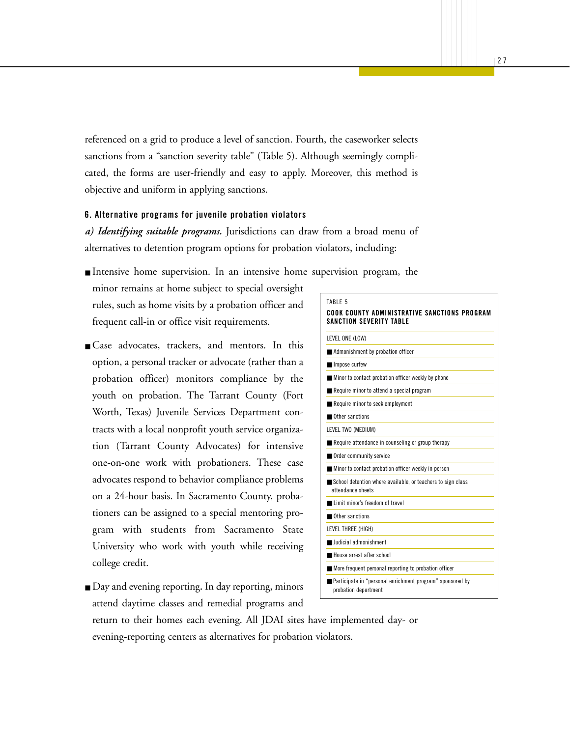referenced on a grid to produce a level of sanction. Fourth, the caseworker selects sanctions from a "sanction severity table" (Table 5). Although seemingly complicated, the forms are user-friendly and easy to apply. Moreover, this method is objective and uniform in applying sanctions.

#### **6. Alternative programs for juvenile probation violators**

*a) Identifying suitable programs.* Jurisdictions can draw from a broad menu of alternatives to detention program options for probation violators, including:

■ Intensive home supervision. In an intensive home supervision program, the

minor remains at home subject to special oversight rules, such as home visits by a probation officer and frequent call-in or office visit requirements.

- Case advocates, trackers, and mentors. In this option, a personal tracker or advocate (rather than a probation officer) monitors compliance by the youth on probation. The Tarrant County (Fort Worth, Texas) Juvenile Services Department contracts with a local nonprofit youth service organization (Tarrant County Advocates) for intensive one-on-one work with probationers. These case advocates respond to behavior compliance problems on a 24-hour basis. In Sacramento County, probationers can be assigned to a special mentoring program with students from Sacramento State University who work with youth while receiving college credit.
- Day and evening reporting. In day reporting, minors attend daytime classes and remedial programs and

#### TABLE 5 **COOK COUNTY ADMINISTRATIVE SANCTIONS PROGRAM SANCTION SEVERITY TABLE**

LEVEL ONE (LOW)

■ Impose curfew

- Admonishment by probation officer
- Minor to contact probation officer weekly by phone
- Require minor to attend a special program
- Require minor to seek employment
- Other sanctions
- LEVEL TWO (MEDIUM)
- Require attendance in counseling or group therapy
- Order community service
- Minor to contact probation officer weekly in person ■ School detention where available, or teachers to sign class
- attendance sheets
- Limit minor's freedom of travel
- Other sanctions
- LEVEL THREE (HIGH) ■ **Judicial admonishment**
- 
- House arrest after school
- More frequent personal reporting to probation officer
- Participate in "personal enrichment program" sponsored by probation department

return to their homes each evening. All JDAI sites have implemented day- or evening-reporting centers as alternatives for probation violators.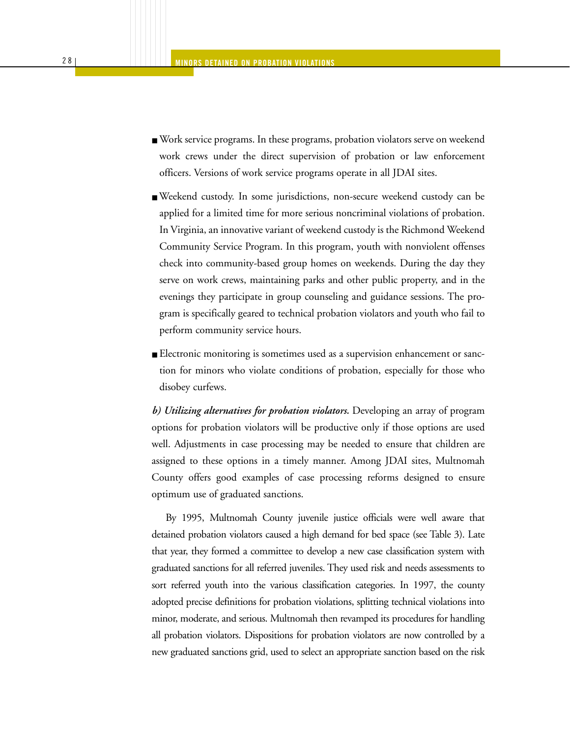- Work service programs. In these programs, probation violators serve on weekend work crews under the direct supervision of probation or law enforcement officers. Versions of work service programs operate in all JDAI sites.
- Weekend custody. In some jurisdictions, non-secure weekend custody can be applied for a limited time for more serious noncriminal violations of probation. In Virginia, an innovative variant of weekend custody is the Richmond Weekend Community Service Program. In this program, youth with nonviolent offenses check into community-based group homes on weekends. During the day they serve on work crews, maintaining parks and other public property, and in the evenings they participate in group counseling and guidance sessions. The program is specifically geared to technical probation violators and youth who fail to perform community service hours.
- Electronic monitoring is sometimes used as a supervision enhancement or sanction for minors who violate conditions of probation, especially for those who disobey curfews.

*b) Utilizing alternatives for probation violators.* Developing an array of program options for probation violators will be productive only if those options are used well. Adjustments in case processing may be needed to ensure that children are assigned to these options in a timely manner. Among JDAI sites, Multnomah County offers good examples of case processing reforms designed to ensure optimum use of graduated sanctions.

By 1995, Multnomah County juvenile justice officials were well aware that detained probation violators caused a high demand for bed space (see Table 3). Late that year, they formed a committee to develop a new case classification system with graduated sanctions for all referred juveniles. They used risk and needs assessments to sort referred youth into the various classification categories. In 1997, the county adopted precise definitions for probation violations, splitting technical violations into minor, moderate, and serious. Multnomah then revamped its procedures for handling all probation violators. Dispositions for probation violators are now controlled by a new graduated sanctions grid, used to select an appropriate sanction based on the risk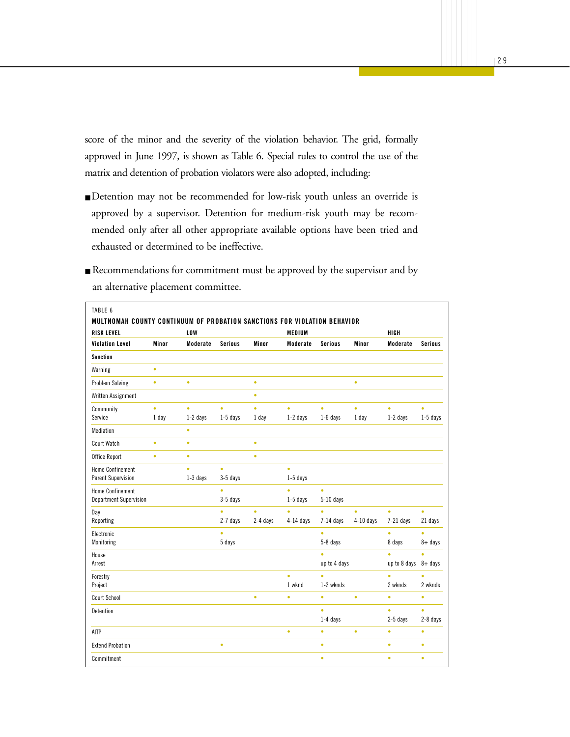score of the minor and the severity of the violation behavior. The grid, formally approved in June 1997, is shown as Table 6. Special rules to control the use of the matrix and detention of probation violators were also adopted, including:

**MINORS DETAINED ON WARRANTS**

- Detention may not be recommended for low-risk youth unless an override is approved by a supervisor. Detention for medium-risk youth may be recommended only after all other appropriate available options have been tried and exhausted or determined to be ineffective.
- Recommendations for commitment must be approved by the supervisor and by an alternative placement committee.

| <b>RISK LEVEL</b>       |           | <b>LOW</b> |                |           | <b>MEDIUM</b> |                |             | HIGH                    |                |
|-------------------------|-----------|------------|----------------|-----------|---------------|----------------|-------------|-------------------------|----------------|
| <b>Violation Level</b>  | Minor     | Moderate   | <b>Serious</b> | Minor     | Moderate      | <b>Serious</b> | Minor       | Moderate                | <b>Serious</b> |
| <b>Sanction</b>         |           |            |                |           |               |                |             |                         |                |
| Warning                 | $\bullet$ |            |                |           |               |                |             |                         |                |
| <b>Problem Solving</b>  | $\bullet$ | $\bullet$  |                | $\bullet$ |               |                | $\bullet$   |                         |                |
| Written Assignment      |           |            |                | $\bullet$ |               |                |             |                         |                |
| Community               | $\bullet$ | $\bullet$  | ò              | ò         | ò             | $\bullet$      | ò           | ò                       | ò              |
| Service                 | 1 day     | $1-2$ days | $1-5$ days     | 1 day     | $1-2$ days    | $1-6$ days     | 1 day       | $1-2$ days              | $1-5$ days     |
| Mediation               |           | $\bullet$  |                |           |               |                |             |                         |                |
| <b>Court Watch</b>      | $\bullet$ | $\bullet$  |                | $\bullet$ |               |                |             |                         |                |
| Office Report           | $\bullet$ | $\bullet$  |                | $\bullet$ |               |                |             |                         |                |
| <b>Home Confinement</b> |           | $\bullet$  | $\bullet$      |           | $\bullet$     |                |             |                         |                |
| Parent Supervision      |           | $1-3$ days | $3-5$ days     |           | $1-5$ days    |                |             |                         |                |
| <b>Home Confinement</b> |           |            | $\bullet$      |           | $\bullet$     | $\bullet$      |             |                         |                |
| Department Supervision  |           |            | 3-5 days       |           | $1-5$ days    | $5-10$ days    |             |                         |                |
| Day                     |           |            | $\bullet$      | ò.        | ò             | $\bullet$      | ò.          | ò                       | $\bullet$      |
| Reporting               |           |            | 2-7 days       | 2-4 days  | $4-14$ days   | $7-14$ days    | $4-10$ days | $7-21$ days             | 21 days        |
| Electronic              |           |            | $\bullet$      |           |               | ò              |             | ò                       | ò              |
| Monitoring              |           |            | 5 days         |           |               | 5-8 days       |             | 8 days                  | $8 + days$     |
| House                   |           |            |                |           |               | ò              |             | ò                       | ò              |
| Arrest                  |           |            |                |           |               | up to 4 days   |             | up to 8 days $8 +$ days |                |
| Forestry                |           |            |                |           | $\bullet$     | $\bullet$      |             | $\bullet$               | ò              |
| Project                 |           |            |                |           | 1 wknd        | 1-2 wknds      |             | 2 wknds                 | 2 wknds        |
| <b>Court School</b>     |           |            |                | $\bullet$ | $\bullet$     | $\bullet$      | $\bullet$   | $\bullet$               | ۰              |
| Detention               |           |            |                |           |               | $\bullet$      |             | ò                       | ò              |
|                         |           |            |                |           |               | 1-4 days       |             | 2-5 days                | 2-8 days       |
| AITP                    |           |            |                |           | $\bullet$     | $\bullet$      | $\bullet$   | $\bullet$               | $\bullet$      |
| <b>Extend Probation</b> |           |            | $\bullet$      |           |               | $\bullet$      |             | $\bullet$               | ۰              |
| Commitment              |           |            |                |           |               | $\bullet$      |             | $\bullet$               | $\bullet$      |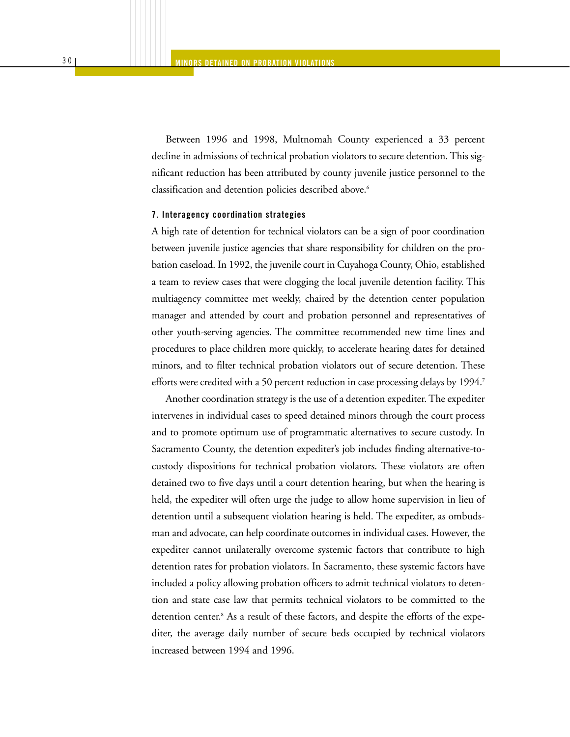Between 1996 and 1998, Multnomah County experienced a 33 percent decline in admissions of technical probation violators to secure detention. This significant reduction has been attributed by county juvenile justice personnel to the classification and detention policies described above.<sup>6</sup>

#### **7. Interagency coordination strategies**

A high rate of detention for technical violators can be a sign of poor coordination between juvenile justice agencies that share responsibility for children on the probation caseload. In 1992, the juvenile court in Cuyahoga County, Ohio, established a team to review cases that were clogging the local juvenile detention facility. This multiagency committee met weekly, chaired by the detention center population manager and attended by court and probation personnel and representatives of other youth-serving agencies. The committee recommended new time lines and procedures to place children more quickly, to accelerate hearing dates for detained minors, and to filter technical probation violators out of secure detention. These efforts were credited with a 50 percent reduction in case processing delays by 1994.<sup>7</sup>

Another coordination strategy is the use of a detention expediter. The expediter intervenes in individual cases to speed detained minors through the court process and to promote optimum use of programmatic alternatives to secure custody. In Sacramento County, the detention expediter's job includes finding alternative-tocustody dispositions for technical probation violators. These violators are often detained two to five days until a court detention hearing, but when the hearing is held, the expediter will often urge the judge to allow home supervision in lieu of detention until a subsequent violation hearing is held. The expediter, as ombudsman and advocate, can help coordinate outcomes in individual cases. However, the expediter cannot unilaterally overcome systemic factors that contribute to high detention rates for probation violators. In Sacramento, these systemic factors have included a policy allowing probation officers to admit technical violators to detention and state case law that permits technical violators to be committed to the detention center.<sup>8</sup> As a result of these factors, and despite the efforts of the expediter, the average daily number of secure beds occupied by technical violators increased between 1994 and 1996.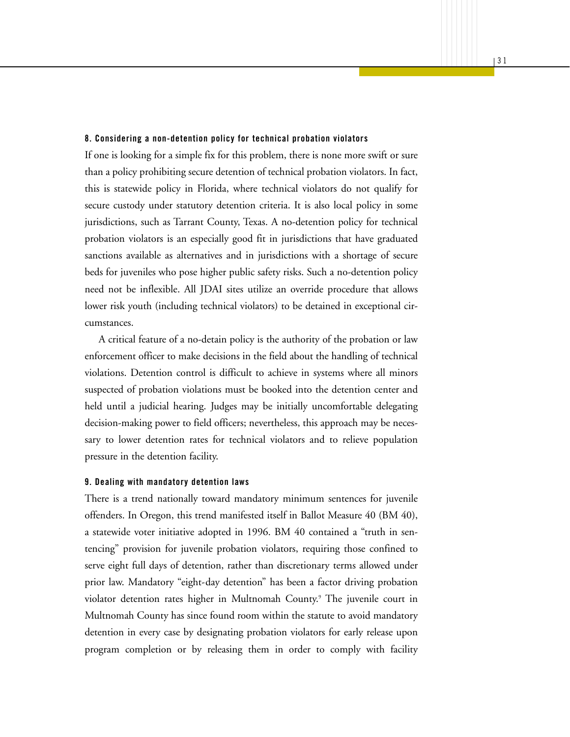#### **8. Considering a non-detention policy for technical probation violators**

If one is looking for a simple fix for this problem, there is none more swift or sure than a policy prohibiting secure detention of technical probation violators. In fact, this is statewide policy in Florida, where technical violators do not qualify for secure custody under statutory detention criteria. It is also local policy in some jurisdictions, such as Tarrant County, Texas. A no-detention policy for technical probation violators is an especially good fit in jurisdictions that have graduated sanctions available as alternatives and in jurisdictions with a shortage of secure beds for juveniles who pose higher public safety risks. Such a no-detention policy need not be inflexible. All JDAI sites utilize an override procedure that allows lower risk youth (including technical violators) to be detained in exceptional circumstances.

A critical feature of a no-detain policy is the authority of the probation or law enforcement officer to make decisions in the field about the handling of technical violations. Detention control is difficult to achieve in systems where all minors suspected of probation violations must be booked into the detention center and held until a judicial hearing. Judges may be initially uncomfortable delegating decision-making power to field officers; nevertheless, this approach may be necessary to lower detention rates for technical violators and to relieve population pressure in the detention facility.

#### **9. Dealing with mandatory detention laws**

There is a trend nationally toward mandatory minimum sentences for juvenile offenders. In Oregon, this trend manifested itself in Ballot Measure 40 (BM 40), a statewide voter initiative adopted in 1996. BM 40 contained a "truth in sentencing" provision for juvenile probation violators, requiring those confined to serve eight full days of detention, rather than discretionary terms allowed under prior law. Mandatory "eight-day detention" has been a factor driving probation violator detention rates higher in Multnomah County.9 The juvenile court in Multnomah County has since found room within the statute to avoid mandatory detention in every case by designating probation violators for early release upon program completion or by releasing them in order to comply with facility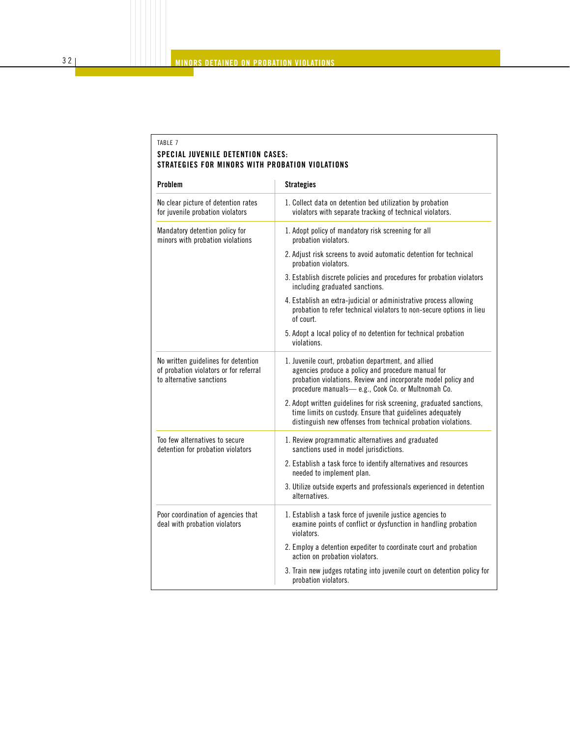#### TABLE 7 **SPECIAL JUVENILE DETENTION CASES: STRATEGIES FOR MINORS WITH PROBATION VIOLATIONS**

| Problem                                                                                                   | <b>Strategies</b>                                                                                                                                                                                                               |
|-----------------------------------------------------------------------------------------------------------|---------------------------------------------------------------------------------------------------------------------------------------------------------------------------------------------------------------------------------|
| No clear picture of detention rates<br>for juvenile probation violators                                   | 1. Collect data on detention bed utilization by probation<br>violators with separate tracking of technical violators.                                                                                                           |
| Mandatory detention policy for<br>minors with probation violations                                        | 1. Adopt policy of mandatory risk screening for all<br>probation violators.                                                                                                                                                     |
|                                                                                                           | 2. Adjust risk screens to avoid automatic detention for technical<br>probation violators.                                                                                                                                       |
|                                                                                                           | 3. Establish discrete policies and procedures for probation violators<br>including graduated sanctions.                                                                                                                         |
|                                                                                                           | 4. Establish an extra-judicial or administrative process allowing<br>probation to refer technical violators to non-secure options in lieu<br>of court.                                                                          |
|                                                                                                           | 5. Adopt a local policy of no detention for technical probation<br>violations.                                                                                                                                                  |
| No written guidelines for detention<br>of probation violators or for referral<br>to alternative sanctions | 1. Juvenile court, probation department, and allied<br>agencies produce a policy and procedure manual for<br>probation violations. Review and incorporate model policy and<br>procedure manuals-e.g., Cook Co. or Multnomah Co. |
|                                                                                                           | 2. Adopt written guidelines for risk screening, graduated sanctions,<br>time limits on custody. Ensure that guidelines adequately<br>distinguish new offenses from technical probation violations.                              |
| Too few alternatives to secure<br>detention for probation violators                                       | 1. Review programmatic alternatives and graduated<br>sanctions used in model jurisdictions.                                                                                                                                     |
|                                                                                                           | 2. Establish a task force to identify alternatives and resources<br>needed to implement plan.                                                                                                                                   |
|                                                                                                           | 3. Utilize outside experts and professionals experienced in detention<br>alternatives.                                                                                                                                          |
| Poor coordination of agencies that<br>deal with probation violators                                       | 1. Establish a task force of juvenile justice agencies to<br>examine points of conflict or dysfunction in handling probation<br>violators.                                                                                      |
|                                                                                                           | 2. Employ a detention expediter to coordinate court and probation<br>action on probation violators.                                                                                                                             |
|                                                                                                           | 3. Train new judges rotating into juvenile court on detention policy for<br>probation violators.                                                                                                                                |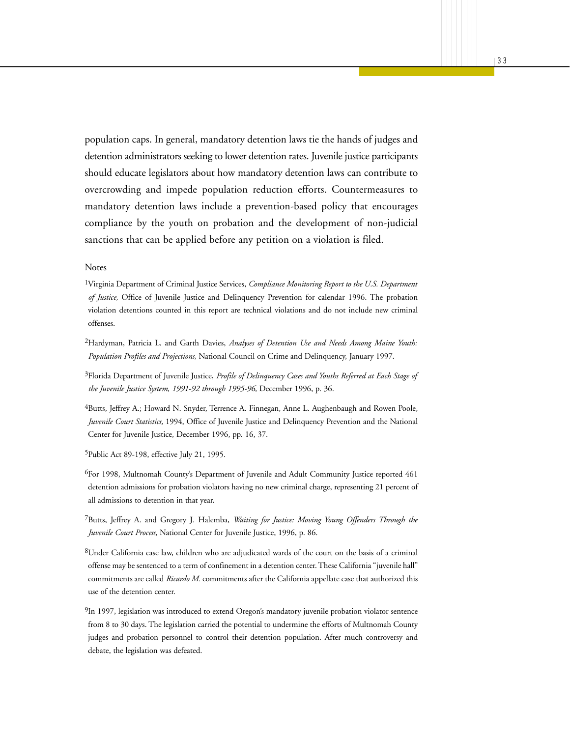population caps. In general, mandatory detention laws tie the hands of judges and detention administrators seeking to lower detention rates. Juvenile justice participants should educate legislators about how mandatory detention laws can contribute to overcrowding and impede population reduction efforts. Countermeasures to mandatory detention laws include a prevention-based policy that encourages compliance by the youth on probation and the development of non-judicial sanctions that can be applied before any petition on a violation is filed.

#### Notes

1Virginia Department of Criminal Justice Services, *Compliance Monitoring Report to the U.S. Department of Justice,* Office of Juvenile Justice and Delinquency Prevention for calendar 1996. The probation violation detentions counted in this report are technical violations and do not include new criminal offenses.

2Hardyman, Patricia L. and Garth Davies, *Analyses of Detention Use and Needs Among Maine Youth: Population Profiles and Projections,* National Council on Crime and Delinquency, January 1997.

3Florida Department of Juvenile Justice, *Profile of Delinquency Cases and Youths Referred at Each Stage of the Juvenile Justice System, 1991-92 through 1995-96,* December 1996, p. 36.

4Butts, Jeffrey A.; Howard N. Snyder, Terrence A. Finnegan, Anne L. Aughenbaugh and Rowen Poole, *Juvenile Court Statistics,* 1994, Office of Juvenile Justice and Delinquency Prevention and the National Center for Juvenile Justice, December 1996, pp. 16, 37.

5Public Act 89-198, effective July 21, 1995.

6For 1998, Multnomah County's Department of Juvenile and Adult Community Justice reported 461 detention admissions for probation violators having no new criminal charge, representing 21 percent of all admissions to detention in that year.

7Butts, Jeffrey A. and Gregory J. Halemba, *Waiting for Justice: Moving Young Offenders Through the Juvenile Court Process,* National Center for Juvenile Justice, 1996, p. 86.

8Under California case law, children who are adjudicated wards of the court on the basis of a criminal offense may be sentenced to a term of confinement in a detention center. These California "juvenile hall" commitments are called *Ricardo M.* commitments after the California appellate case that authorized this use of the detention center.

 $^{9}$ In 1997, legislation was introduced to extend Oregon's mandatory juvenile probation violator sentence from 8 to 30 days. The legislation carried the potential to undermine the efforts of Multnomah County judges and probation personnel to control their detention population. After much controversy and debate, the legislation was defeated.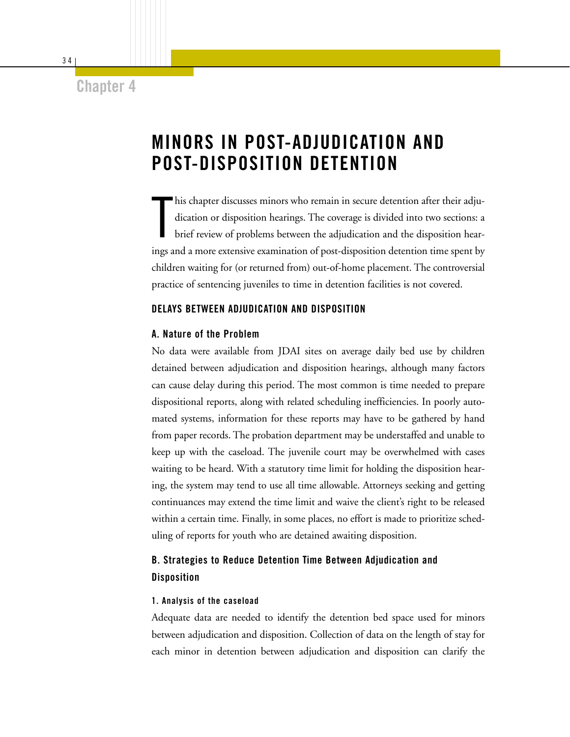### **Chapter 4**

# **MINORS IN POST-ADJUDICATION AND POST-DISPOSITION DETENTION**

T his chapter discusses minors who remain in secure detention after their adjudication or disposition hearings. The coverage is divided into two sections: a brief review of problems between the adjudication and the disposition hearings and a more extensive examination of post-disposition detention time spent by children waiting for (or returned from) out-of-home placement. The controversial practice of sentencing juveniles to time in detention facilities is not covered.

#### **DELAYS BETWEEN ADJUDICATION AND DISPOSITION**

#### **A. Nature of the Problem**

No data were available from JDAI sites on average daily bed use by children detained between adjudication and disposition hearings, although many factors can cause delay during this period. The most common is time needed to prepare dispositional reports, along with related scheduling inefficiencies. In poorly automated systems, information for these reports may have to be gathered by hand from paper records. The probation department may be understaffed and unable to keep up with the caseload. The juvenile court may be overwhelmed with cases waiting to be heard. With a statutory time limit for holding the disposition hearing, the system may tend to use all time allowable. Attorneys seeking and getting continuances may extend the time limit and waive the client's right to be released within a certain time. Finally, in some places, no effort is made to prioritize scheduling of reports for youth who are detained awaiting disposition.

### **B. Strategies to Reduce Detention Time Between Adjudication and Disposition**

#### **1. Analysis of the caseload**

Adequate data are needed to identify the detention bed space used for minors between adjudication and disposition. Collection of data on the length of stay for each minor in detention between adjudication and disposition can clarify the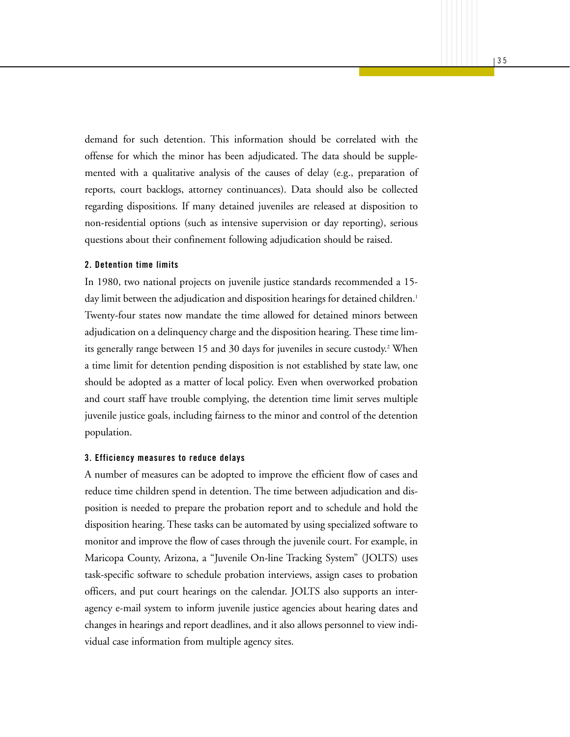demand for such detention. This information should be correlated with the offense for which the minor has been adjudicated. The data should be supplemented with a qualitative analysis of the causes of delay (e.g., preparation of reports, court backlogs, attorney continuances). Data should also be collected regarding dispositions. If many detained juveniles are released at disposition to non-residential options (such as intensive supervision or day reporting), serious questions about their confinement following adjudication should be raised.

#### **2. Detention time limits**

In 1980, two national projects on juvenile justice standards recommended a 15 day limit between the adjudication and disposition hearings for detained children.<sup>1</sup> Twenty-four states now mandate the time allowed for detained minors between adjudication on a delinquency charge and the disposition hearing. These time limits generally range between 15 and 30 days for juveniles in secure custody.<sup>2</sup> When a time limit for detention pending disposition is not established by state law, one should be adopted as a matter of local policy. Even when overworked probation and court staff have trouble complying, the detention time limit serves multiple juvenile justice goals, including fairness to the minor and control of the detention population.

#### **3. Efficiency measures to reduce delays**

A number of measures can be adopted to improve the efficient flow of cases and reduce time children spend in detention. The time between adjudication and disposition is needed to prepare the probation report and to schedule and hold the disposition hearing. These tasks can be automated by using specialized software to monitor and improve the flow of cases through the juvenile court. For example, in Maricopa County, Arizona, a "Juvenile On-line Tracking System" (JOLTS) uses task-specific software to schedule probation interviews, assign cases to probation officers, and put court hearings on the calendar. JOLTS also supports an interagency e-mail system to inform juvenile justice agencies about hearing dates and changes in hearings and report deadlines, and it also allows personnel to view individual case information from multiple agency sites.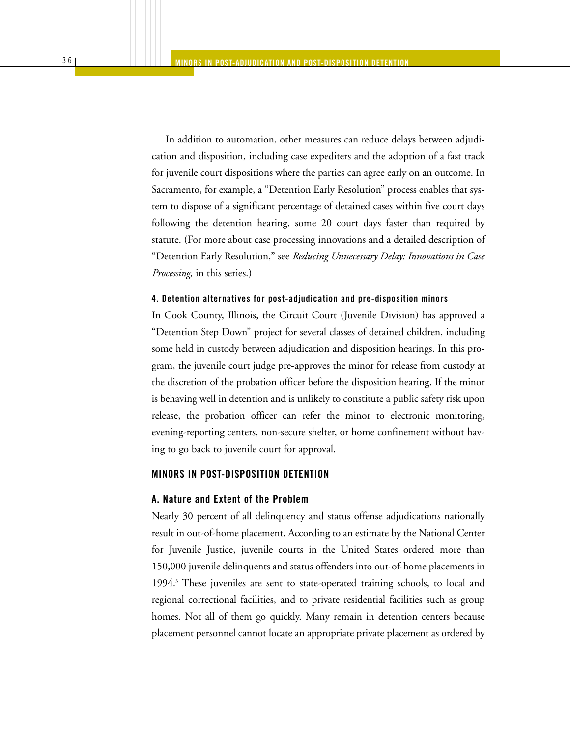In addition to automation, other measures can reduce delays between adjudication and disposition, including case expediters and the adoption of a fast track for juvenile court dispositions where the parties can agree early on an outcome. In Sacramento, for example, a "Detention Early Resolution" process enables that system to dispose of a significant percentage of detained cases within five court days following the detention hearing, some 20 court days faster than required by statute. (For more about case processing innovations and a detailed description of "Detention Early Resolution," see *Reducing Unnecessary Delay: Innovations in Case Processing,* in this series.)

#### **4. Detention alternatives for post-adjudication and pre-disposition minors**

In Cook County, Illinois, the Circuit Court (Juvenile Division) has approved a "Detention Step Down" project for several classes of detained children, including some held in custody between adjudication and disposition hearings. In this program, the juvenile court judge pre-approves the minor for release from custody at the discretion of the probation officer before the disposition hearing. If the minor is behaving well in detention and is unlikely to constitute a public safety risk upon release, the probation officer can refer the minor to electronic monitoring, evening-reporting centers, non-secure shelter, or home confinement without having to go back to juvenile court for approval.

#### **MINORS IN POST-DISPOSITION DETENTION**

#### **A. Nature and Extent of the Problem**

Nearly 30 percent of all delinquency and status offense adjudications nationally result in out-of-home placement. According to an estimate by the National Center for Juvenile Justice, juvenile courts in the United States ordered more than 150,000 juvenile delinquents and status offenders into out-of-home placements in 1994.3 These juveniles are sent to state-operated training schools, to local and regional correctional facilities, and to private residential facilities such as group homes. Not all of them go quickly. Many remain in detention centers because placement personnel cannot locate an appropriate private placement as ordered by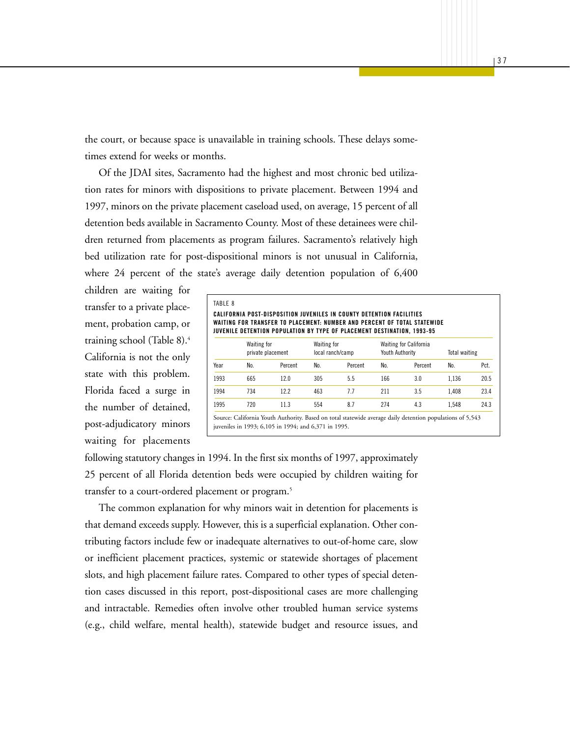the court, or because space is unavailable in training schools. These delays sometimes extend for weeks or months.

Of the JDAI sites, Sacramento had the highest and most chronic bed utilization rates for minors with dispositions to private placement. Between 1994 and 1997, minors on the private placement caseload used, on average, 15 percent of all detention beds available in Sacramento County. Most of these detainees were children returned from placements as program failures. Sacramento's relatively high bed utilization rate for post-dispositional minors is not unusual in California, where 24 percent of the state's average daily detention population of 6,400

children are waiting for transfer to a private placement, probation camp, or training school (Table 8).4 California is not the only state with this problem. Florida faced a surge in the number of detained, post-adjudicatory minors waiting for placements

|      | CALIFORNIA POST-DISPOSITION JUVENILES IN COUNTY DETENTION FACILITIES<br>WAITING FOR TRANSFER TO PLACEMENT: NUMBER AND PERCENT OF TOTAL STATEWIDE<br>JUVENILE DETENTION POPULATION BY TYPE OF PLACEMENT DESTINATION, 1993-95 |         |                                 |         |                                                  |         |               |      |
|------|-----------------------------------------------------------------------------------------------------------------------------------------------------------------------------------------------------------------------------|---------|---------------------------------|---------|--------------------------------------------------|---------|---------------|------|
|      | <b>Waiting for</b><br>private placement                                                                                                                                                                                     |         | Waiting for<br>local ranch/camp |         | <b>Waiting for California</b><br>Youth Authority |         | Total waiting |      |
| Year | No.                                                                                                                                                                                                                         | Percent | No.                             | Percent | No.                                              | Percent | No.           | Pct. |
| 1993 | 665                                                                                                                                                                                                                         | 12.0    | 305                             | 5.5     | 166                                              | 3.0     | 1.136         | 20.5 |
| 1994 | 734                                                                                                                                                                                                                         | 12.2    | 463                             | 7.7     | 211                                              | 3.5     | 1.408         | 23.4 |
| 1995 | 720                                                                                                                                                                                                                         | 11.3    | 554                             | 8.7     | 274                                              | 4.3     | 1.548         | 24.3 |

following statutory changes in 1994. In the first six months of 1997, approximately 25 percent of all Florida detention beds were occupied by children waiting for transfer to a court-ordered placement or program.<sup>5</sup>

The common explanation for why minors wait in detention for placements is that demand exceeds supply. However, this is a superficial explanation. Other contributing factors include few or inadequate alternatives to out-of-home care, slow or inefficient placement practices, systemic or statewide shortages of placement slots, and high placement failure rates. Compared to other types of special detention cases discussed in this report, post-dispositional cases are more challenging and intractable. Remedies often involve other troubled human service systems (e.g., child welfare, mental health), statewide budget and resource issues, and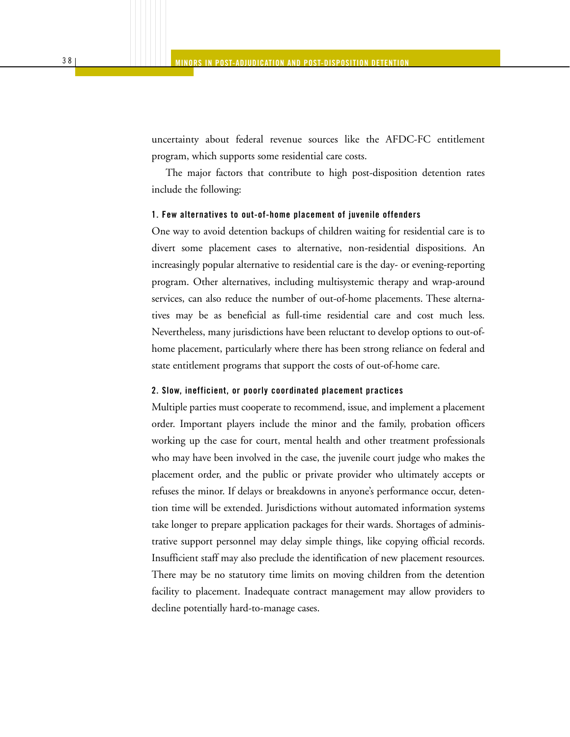uncertainty about federal revenue sources like the AFDC-FC entitlement program, which supports some residential care costs.

The major factors that contribute to high post-disposition detention rates include the following:

#### **1. Few alternatives to out-of-home placement of juvenile offenders**

One way to avoid detention backups of children waiting for residential care is to divert some placement cases to alternative, non-residential dispositions. An increasingly popular alternative to residential care is the day- or evening-reporting program. Other alternatives, including multisystemic therapy and wrap-around services, can also reduce the number of out-of-home placements. These alternatives may be as beneficial as full-time residential care and cost much less. Nevertheless, many jurisdictions have been reluctant to develop options to out-ofhome placement, particularly where there has been strong reliance on federal and state entitlement programs that support the costs of out-of-home care.

#### **2. Slow, inefficient, or poorly coordinated placement practices**

Multiple parties must cooperate to recommend, issue, and implement a placement order. Important players include the minor and the family, probation officers working up the case for court, mental health and other treatment professionals who may have been involved in the case, the juvenile court judge who makes the placement order, and the public or private provider who ultimately accepts or refuses the minor. If delays or breakdowns in anyone's performance occur, detention time will be extended. Jurisdictions without automated information systems take longer to prepare application packages for their wards. Shortages of administrative support personnel may delay simple things, like copying official records. Insufficient staff may also preclude the identification of new placement resources. There may be no statutory time limits on moving children from the detention facility to placement. Inadequate contract management may allow providers to decline potentially hard-to-manage cases.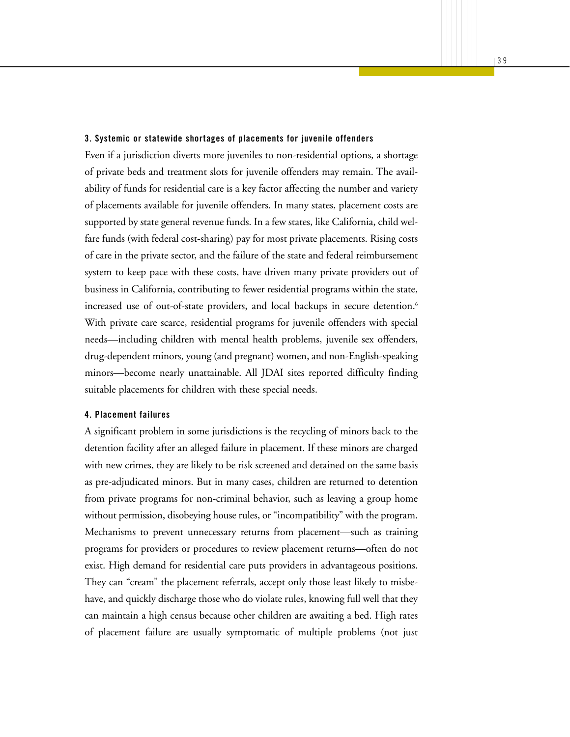#### **3. Systemic or statewide shortages of placements for juvenile offenders**

Even if a jurisdiction diverts more juveniles to non-residential options, a shortage of private beds and treatment slots for juvenile offenders may remain. The availability of funds for residential care is a key factor affecting the number and variety of placements available for juvenile offenders. In many states, placement costs are supported by state general revenue funds. In a few states, like California, child welfare funds (with federal cost-sharing) pay for most private placements. Rising costs of care in the private sector, and the failure of the state and federal reimbursement system to keep pace with these costs, have driven many private providers out of business in California, contributing to fewer residential programs within the state, increased use of out-of-state providers, and local backups in secure detention.<sup>6</sup> With private care scarce, residential programs for juvenile offenders with special needs—including children with mental health problems, juvenile sex offenders, drug-dependent minors, young (and pregnant) women, and non-English-speaking minors—become nearly unattainable. All JDAI sites reported difficulty finding suitable placements for children with these special needs.

#### **4. Placement failures**

A significant problem in some jurisdictions is the recycling of minors back to the detention facility after an alleged failure in placement. If these minors are charged with new crimes, they are likely to be risk screened and detained on the same basis as pre-adjudicated minors. But in many cases, children are returned to detention from private programs for non-criminal behavior, such as leaving a group home without permission, disobeying house rules, or "incompatibility" with the program. Mechanisms to prevent unnecessary returns from placement—such as training programs for providers or procedures to review placement returns—often do not exist. High demand for residential care puts providers in advantageous positions. They can "cream" the placement referrals, accept only those least likely to misbehave, and quickly discharge those who do violate rules, knowing full well that they can maintain a high census because other children are awaiting a bed. High rates of placement failure are usually symptomatic of multiple problems (not just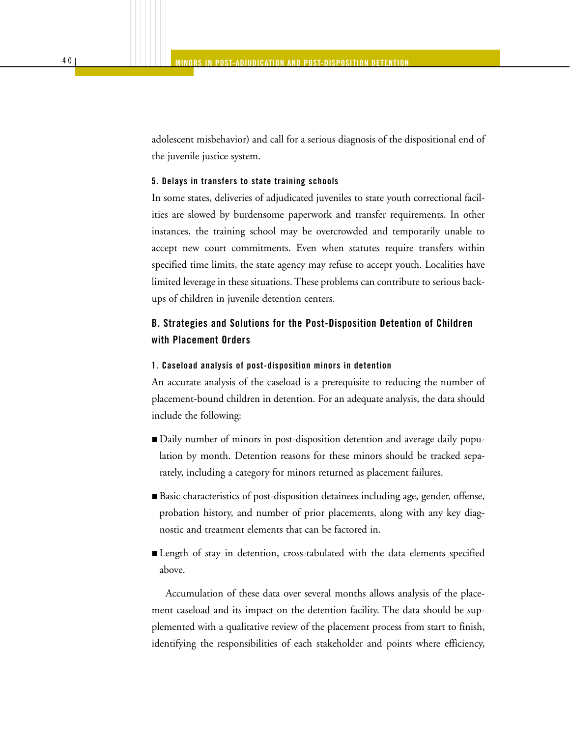adolescent misbehavior) and call for a serious diagnosis of the dispositional end of the juvenile justice system.

#### **5. Delays in transfers to state training schools**

In some states, deliveries of adjudicated juveniles to state youth correctional facilities are slowed by burdensome paperwork and transfer requirements. In other instances, the training school may be overcrowded and temporarily unable to accept new court commitments. Even when statutes require transfers within specified time limits, the state agency may refuse to accept youth. Localities have limited leverage in these situations. These problems can contribute to serious backups of children in juvenile detention centers.

### **B. Strategies and Solutions for the Post-Disposition Detention of Children with Placement Orders**

#### **1. Caseload analysis of post-disposition minors in detention**

An accurate analysis of the caseload is a prerequisite to reducing the number of placement-bound children in detention. For an adequate analysis, the data should include the following:

- Daily number of minors in post-disposition detention and average daily population by month. Detention reasons for these minors should be tracked separately, including a category for minors returned as placement failures.
- Basic characteristics of post-disposition detainees including age, gender, offense, probation history, and number of prior placements, along with any key diagnostic and treatment elements that can be factored in.
- Length of stay in detention, cross-tabulated with the data elements specified above.

Accumulation of these data over several months allows analysis of the placement caseload and its impact on the detention facility. The data should be supplemented with a qualitative review of the placement process from start to finish, identifying the responsibilities of each stakeholder and points where efficiency,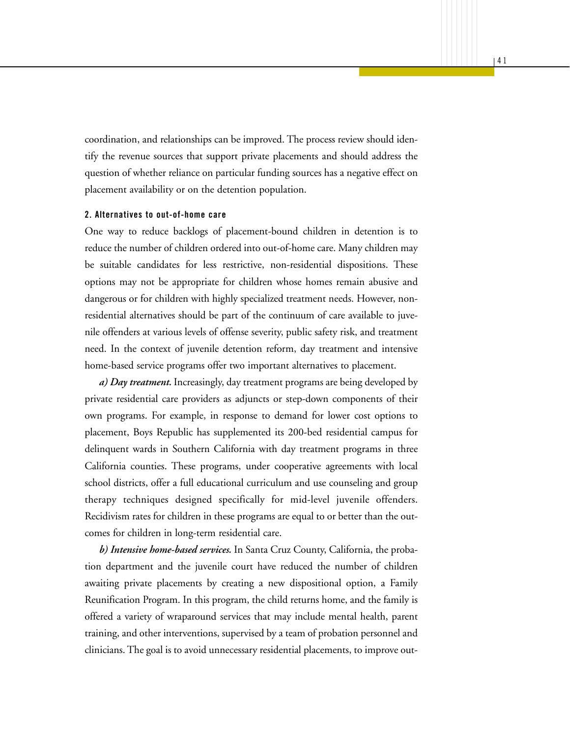coordination, and relationships can be improved. The process review should identify the revenue sources that support private placements and should address the question of whether reliance on particular funding sources has a negative effect on placement availability or on the detention population.

#### **2. Alternatives to out-of-home care**

One way to reduce backlogs of placement-bound children in detention is to reduce the number of children ordered into out-of-home care. Many children may be suitable candidates for less restrictive, non-residential dispositions. These options may not be appropriate for children whose homes remain abusive and dangerous or for children with highly specialized treatment needs. However, nonresidential alternatives should be part of the continuum of care available to juvenile offenders at various levels of offense severity, public safety risk, and treatment need. In the context of juvenile detention reform, day treatment and intensive home-based service programs offer two important alternatives to placement.

*a) Day treatment.* Increasingly, day treatment programs are being developed by private residential care providers as adjuncts or step-down components of their own programs. For example, in response to demand for lower cost options to placement, Boys Republic has supplemented its 200-bed residential campus for delinquent wards in Southern California with day treatment programs in three California counties. These programs, under cooperative agreements with local school districts, offer a full educational curriculum and use counseling and group therapy techniques designed specifically for mid-level juvenile offenders. Recidivism rates for children in these programs are equal to or better than the outcomes for children in long-term residential care.

*b) Intensive home-based services.* In Santa Cruz County, California, the probation department and the juvenile court have reduced the number of children awaiting private placements by creating a new dispositional option, a Family Reunification Program. In this program, the child returns home, and the family is offered a variety of wraparound services that may include mental health, parent training, and other interventions, supervised by a team of probation personnel and clinicians. The goal is to avoid unnecessary residential placements, to improve out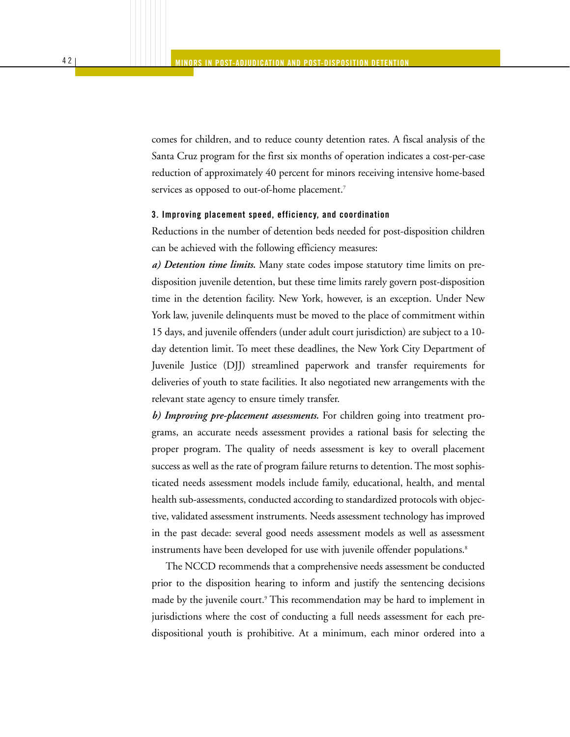comes for children, and to reduce county detention rates. A fiscal analysis of the Santa Cruz program for the first six months of operation indicates a cost-per-case reduction of approximately 40 percent for minors receiving intensive home-based services as opposed to out-of-home placement.<sup>7</sup>

#### **3. Improving placement speed, efficiency, and coordination**

Reductions in the number of detention beds needed for post-disposition children can be achieved with the following efficiency measures:

*a) Detention time limits.* Many state codes impose statutory time limits on predisposition juvenile detention, but these time limits rarely govern post-disposition time in the detention facility. New York, however, is an exception. Under New York law, juvenile delinquents must be moved to the place of commitment within 15 days, and juvenile offenders (under adult court jurisdiction) are subject to a 10 day detention limit. To meet these deadlines, the New York City Department of Juvenile Justice (DJJ) streamlined paperwork and transfer requirements for deliveries of youth to state facilities. It also negotiated new arrangements with the relevant state agency to ensure timely transfer.

*b) Improving pre-placement assessments.* For children going into treatment programs, an accurate needs assessment provides a rational basis for selecting the proper program. The quality of needs assessment is key to overall placement success as well as the rate of program failure returns to detention. The most sophisticated needs assessment models include family, educational, health, and mental health sub-assessments, conducted according to standardized protocols with objective, validated assessment instruments. Needs assessment technology has improved in the past decade: several good needs assessment models as well as assessment instruments have been developed for use with juvenile offender populations.<sup>8</sup>

The NCCD recommends that a comprehensive needs assessment be conducted prior to the disposition hearing to inform and justify the sentencing decisions made by the juvenile court.<sup>9</sup> This recommendation may be hard to implement in jurisdictions where the cost of conducting a full needs assessment for each predispositional youth is prohibitive. At a minimum, each minor ordered into a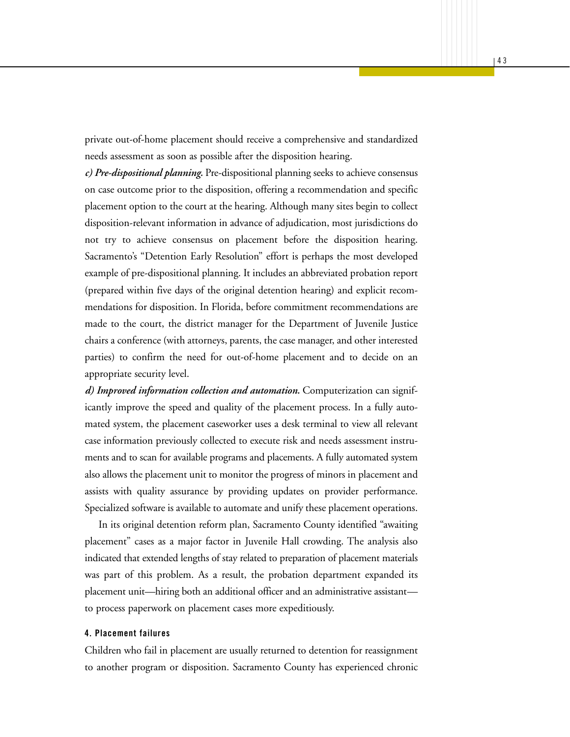private out-of-home placement should receive a comprehensive and standardized needs assessment as soon as possible after the disposition hearing.

*c) Pre-dispositional planning.* Pre-dispositional planning seeks to achieve consensus on case outcome prior to the disposition, offering a recommendation and specific placement option to the court at the hearing. Although many sites begin to collect disposition-relevant information in advance of adjudication, most jurisdictions do not try to achieve consensus on placement before the disposition hearing. Sacramento's "Detention Early Resolution" effort is perhaps the most developed example of pre-dispositional planning. It includes an abbreviated probation report (prepared within five days of the original detention hearing) and explicit recommendations for disposition. In Florida, before commitment recommendations are made to the court, the district manager for the Department of Juvenile Justice chairs a conference (with attorneys, parents, the case manager, and other interested parties) to confirm the need for out-of-home placement and to decide on an appropriate security level.

*d) Improved information collection and automation.* Computerization can significantly improve the speed and quality of the placement process. In a fully automated system, the placement caseworker uses a desk terminal to view all relevant case information previously collected to execute risk and needs assessment instruments and to scan for available programs and placements. A fully automated system also allows the placement unit to monitor the progress of minors in placement and assists with quality assurance by providing updates on provider performance. Specialized software is available to automate and unify these placement operations.

In its original detention reform plan, Sacramento County identified "awaiting placement" cases as a major factor in Juvenile Hall crowding. The analysis also indicated that extended lengths of stay related to preparation of placement materials was part of this problem. As a result, the probation department expanded its placement unit—hiring both an additional officer and an administrative assistant to process paperwork on placement cases more expeditiously.

#### **4. Placement failures**

Children who fail in placement are usually returned to detention for reassignment to another program or disposition. Sacramento County has experienced chronic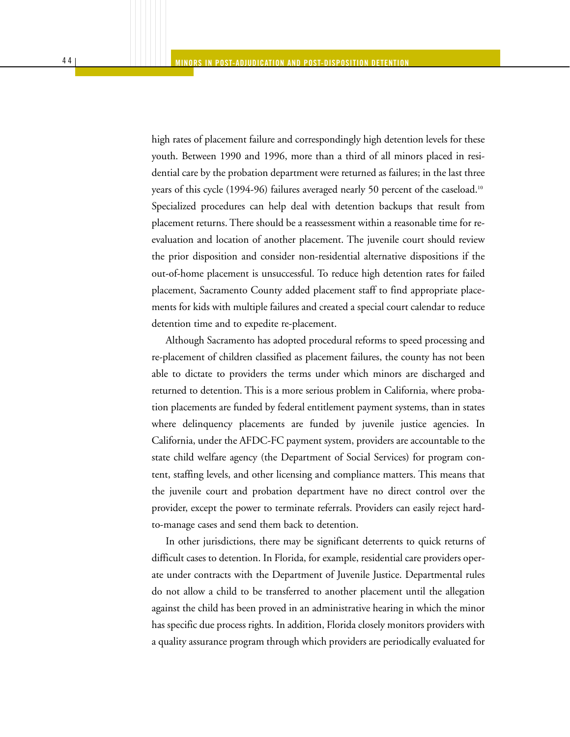high rates of placement failure and correspondingly high detention levels for these youth. Between 1990 and 1996, more than a third of all minors placed in residential care by the probation department were returned as failures; in the last three years of this cycle (1994-96) failures averaged nearly 50 percent of the caseload.10 Specialized procedures can help deal with detention backups that result from placement returns. There should be a reassessment within a reasonable time for reevaluation and location of another placement. The juvenile court should review the prior disposition and consider non-residential alternative dispositions if the out-of-home placement is unsuccessful. To reduce high detention rates for failed placement, Sacramento County added placement staff to find appropriate placements for kids with multiple failures and created a special court calendar to reduce detention time and to expedite re-placement.

Although Sacramento has adopted procedural reforms to speed processing and re-placement of children classified as placement failures, the county has not been able to dictate to providers the terms under which minors are discharged and returned to detention. This is a more serious problem in California, where probation placements are funded by federal entitlement payment systems, than in states where delinquency placements are funded by juvenile justice agencies. In California, under the AFDC-FC payment system, providers are accountable to the state child welfare agency (the Department of Social Services) for program content, staffing levels, and other licensing and compliance matters. This means that the juvenile court and probation department have no direct control over the provider, except the power to terminate referrals. Providers can easily reject hardto-manage cases and send them back to detention.

In other jurisdictions, there may be significant deterrents to quick returns of difficult cases to detention. In Florida, for example, residential care providers operate under contracts with the Department of Juvenile Justice. Departmental rules do not allow a child to be transferred to another placement until the allegation against the child has been proved in an administrative hearing in which the minor has specific due process rights. In addition, Florida closely monitors providers with a quality assurance program through which providers are periodically evaluated for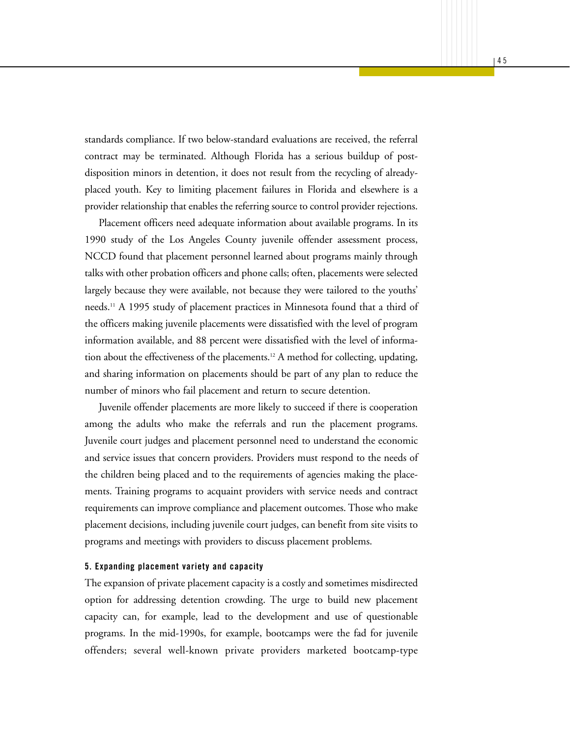standards compliance. If two below-standard evaluations are received, the referral contract may be terminated. Although Florida has a serious buildup of postdisposition minors in detention, it does not result from the recycling of alreadyplaced youth. Key to limiting placement failures in Florida and elsewhere is a provider relationship that enables the referring source to control provider rejections.

Placement officers need adequate information about available programs. In its 1990 study of the Los Angeles County juvenile offender assessment process, NCCD found that placement personnel learned about programs mainly through talks with other probation officers and phone calls; often, placements were selected largely because they were available, not because they were tailored to the youths' needs.11 A 1995 study of placement practices in Minnesota found that a third of the officers making juvenile placements were dissatisfied with the level of program information available, and 88 percent were dissatisfied with the level of information about the effectiveness of the placements.12 A method for collecting, updating, and sharing information on placements should be part of any plan to reduce the number of minors who fail placement and return to secure detention.

Juvenile offender placements are more likely to succeed if there is cooperation among the adults who make the referrals and run the placement programs. Juvenile court judges and placement personnel need to understand the economic and service issues that concern providers. Providers must respond to the needs of the children being placed and to the requirements of agencies making the placements. Training programs to acquaint providers with service needs and contract requirements can improve compliance and placement outcomes. Those who make placement decisions, including juvenile court judges, can benefit from site visits to programs and meetings with providers to discuss placement problems.

#### **5. Expanding placement variety and capacity**

The expansion of private placement capacity is a costly and sometimes misdirected option for addressing detention crowding. The urge to build new placement capacity can, for example, lead to the development and use of questionable programs. In the mid-1990s, for example, bootcamps were the fad for juvenile offenders; several well-known private providers marketed bootcamp-type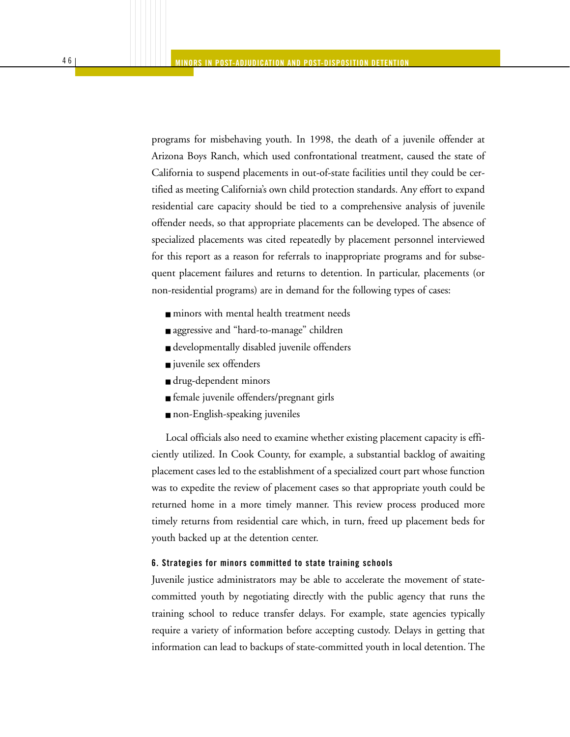programs for misbehaving youth. In 1998, the death of a juvenile offender at Arizona Boys Ranch, which used confrontational treatment, caused the state of California to suspend placements in out-of-state facilities until they could be certified as meeting California's own child protection standards. Any effort to expand residential care capacity should be tied to a comprehensive analysis of juvenile offender needs, so that appropriate placements can be developed. The absence of specialized placements was cited repeatedly by placement personnel interviewed for this report as a reason for referrals to inappropriate programs and for subsequent placement failures and returns to detention. In particular, placements (or non-residential programs) are in demand for the following types of cases:

- minors with mental health treatment needs
- aggressive and "hard-to-manage" children
- developmentally disabled juvenile offenders
- juvenile sex offenders
- drug-dependent minors
- female juvenile offenders/pregnant girls
- non-English-speaking juveniles

Local officials also need to examine whether existing placement capacity is efficiently utilized. In Cook County, for example, a substantial backlog of awaiting placement cases led to the establishment of a specialized court part whose function was to expedite the review of placement cases so that appropriate youth could be returned home in a more timely manner. This review process produced more timely returns from residential care which, in turn, freed up placement beds for youth backed up at the detention center.

#### **6. Strategies for minors committed to state training schools**

Juvenile justice administrators may be able to accelerate the movement of statecommitted youth by negotiating directly with the public agency that runs the training school to reduce transfer delays. For example, state agencies typically require a variety of information before accepting custody. Delays in getting that information can lead to backups of state-committed youth in local detention. The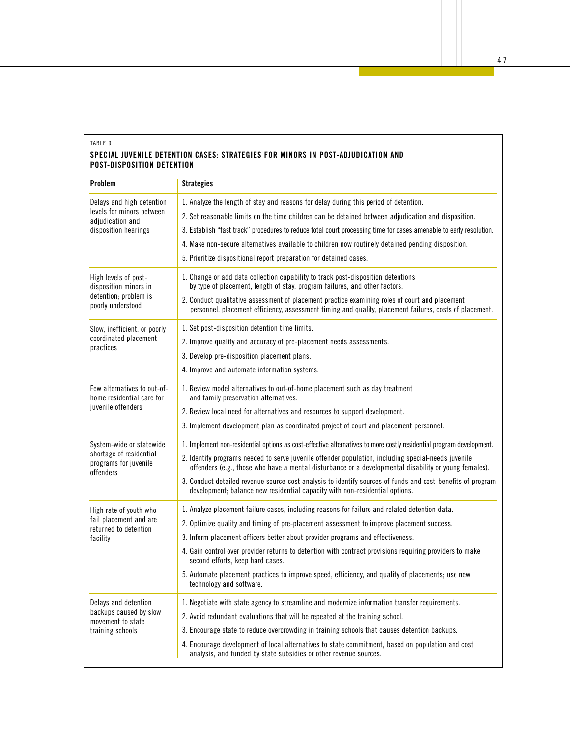#### TABLE 9 **SPECIAL JUVENILE DETENTION CASES: STRATEGIES FOR MINORS IN POST-ADJUDICATION AND POST-DISPOSITION DETENTION**

| Problem                                                       | <b>Strategies</b>                                                                                                                                                                                            |
|---------------------------------------------------------------|--------------------------------------------------------------------------------------------------------------------------------------------------------------------------------------------------------------|
| Delays and high detention                                     | 1. Analyze the length of stay and reasons for delay during this period of detention.                                                                                                                         |
| levels for minors between<br>adiudication and                 | 2. Set reasonable limits on the time children can be detained between adjudication and disposition.                                                                                                          |
| disposition hearings                                          | 3. Establish "fast track" procedures to reduce total court processing time for cases amenable to early resolution.                                                                                           |
|                                                               | 4. Make non-secure alternatives available to children now routinely detained pending disposition.                                                                                                            |
|                                                               | 5. Prioritize dispositional report preparation for detained cases.                                                                                                                                           |
| High levels of post-<br>disposition minors in                 | 1. Change or add data collection capability to track post-disposition detentions<br>by type of placement, length of stay, program failures, and other factors.                                               |
| detention: problem is<br>poorly understood                    | 2. Conduct qualitative assessment of placement practice examining roles of court and placement<br>personnel, placement efficiency, assessment timing and quality, placement failures, costs of placement.    |
| Slow, inefficient, or poorly                                  | 1. Set post-disposition detention time limits.                                                                                                                                                               |
| coordinated placement<br>practices                            | 2. Improve quality and accuracy of pre-placement needs assessments.                                                                                                                                          |
|                                                               | 3. Develop pre-disposition placement plans.                                                                                                                                                                  |
|                                                               | 4. Improve and automate information systems.                                                                                                                                                                 |
| Few alternatives to out-of-<br>home residential care for      | 1. Review model alternatives to out-of-home placement such as day treatment<br>and family preservation alternatives.                                                                                         |
| juvenile offenders                                            | 2. Review local need for alternatives and resources to support development.                                                                                                                                  |
|                                                               | 3. Implement development plan as coordinated project of court and placement personnel.                                                                                                                       |
| System-wide or statewide                                      | 1. Implement non-residential options as cost-effective alternatives to more costly residential program development.                                                                                          |
| shortage of residential<br>programs for juvenile<br>offenders | 2. Identify programs needed to serve juvenile offender population, including special-needs juvenile<br>offenders (e.g., those who have a mental disturbance or a developmental disability or young females). |
|                                                               | 3. Conduct detailed revenue source-cost analysis to identify sources of funds and cost-benefits of program<br>development; balance new residential capacity with non-residential options.                    |
| High rate of youth who                                        | 1. Analyze placement failure cases, including reasons for failure and related detention data.                                                                                                                |
| fail placement and are<br>returned to detention               | 2. Optimize quality and timing of pre-placement assessment to improve placement success.                                                                                                                     |
| facility                                                      | 3. Inform placement officers better about provider programs and effectiveness.                                                                                                                               |
|                                                               | 4. Gain control over provider returns to detention with contract provisions requiring providers to make<br>second efforts, keep hard cases.                                                                  |
|                                                               | 5. Automate placement practices to improve speed, efficiency, and quality of placements; use new<br>technology and software.                                                                                 |
| Delays and detention                                          | 1. Negotiate with state agency to streamline and modernize information transfer requirements.                                                                                                                |
| backups caused by slow<br>movement to state                   | 2. Avoid redundant evaluations that will be repeated at the training school.                                                                                                                                 |
| training schools                                              | 3. Encourage state to reduce overcrowding in training schools that causes detention backups.                                                                                                                 |
|                                                               | 4. Encourage development of local alternatives to state commitment, based on population and cost<br>analysis, and funded by state subsidies or other revenue sources.                                        |

| 47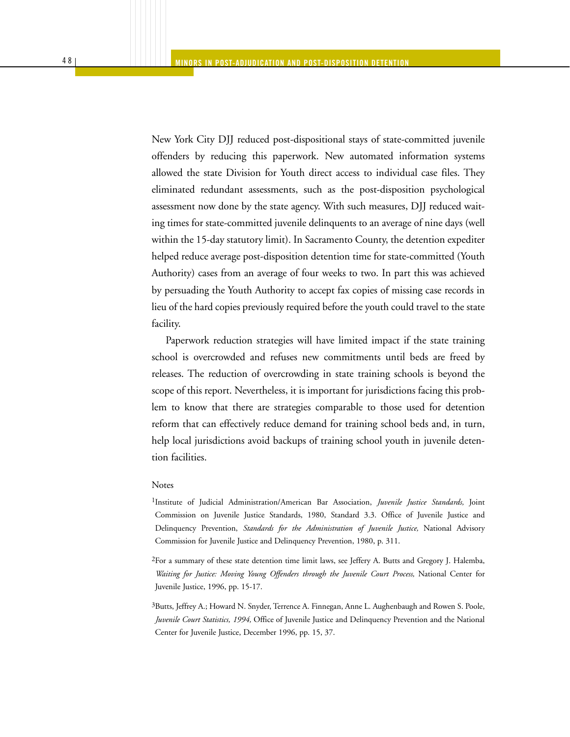New York City DJJ reduced post-dispositional stays of state-committed juvenile offenders by reducing this paperwork. New automated information systems allowed the state Division for Youth direct access to individual case files. They eliminated redundant assessments, such as the post-disposition psychological assessment now done by the state agency. With such measures, DJJ reduced waiting times for state-committed juvenile delinquents to an average of nine days (well within the 15-day statutory limit). In Sacramento County, the detention expediter helped reduce average post-disposition detention time for state-committed (Youth Authority) cases from an average of four weeks to two. In part this was achieved by persuading the Youth Authority to accept fax copies of missing case records in lieu of the hard copies previously required before the youth could travel to the state facility.

Paperwork reduction strategies will have limited impact if the state training school is overcrowded and refuses new commitments until beds are freed by releases. The reduction of overcrowding in state training schools is beyond the scope of this report. Nevertheless, it is important for jurisdictions facing this problem to know that there are strategies comparable to those used for detention reform that can effectively reduce demand for training school beds and, in turn, help local jurisdictions avoid backups of training school youth in juvenile detention facilities.

#### Notes

- 1Institute of Judicial Administration/American Bar Association, *Juvenile Justice Standards,* Joint Commission on Juvenile Justice Standards, 1980, Standard 3.3. Office of Juvenile Justice and Delinquency Prevention, *Standards for the Administration of Juvenile Justice,* National Advisory Commission for Juvenile Justice and Delinquency Prevention, 1980, p. 311.
- 2For a summary of these state detention time limit laws, see Jeffery A. Butts and Gregory J. Halemba, *Waiting for Justice: Moving Young Offenders through the Juvenile Court Process,* National Center for Juvenile Justice, 1996, pp. 15-17.
- 3Butts, Jeffrey A.; Howard N. Snyder, Terrence A. Finnegan, Anne L. Aughenbaugh and Rowen S. Poole, *Juvenile Court Statistics, 1994,* Office of Juvenile Justice and Delinquency Prevention and the National Center for Juvenile Justice, December 1996, pp. 15, 37.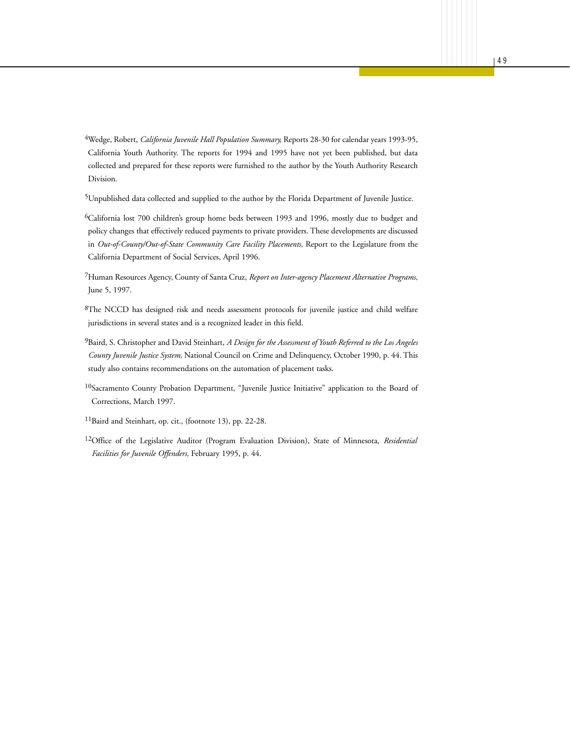4Wedge, Robert, *California Juvenile Hall Population Summary,* Reports 28-30 for calendar years 1993-95, California Youth Authority. The reports for 1994 and 1995 have not yet been published, but data collected and prepared for these reports were furnished to the author by the Youth Authority Research Division.

5Unpublished data collected and supplied to the author by the Florida Department of Juvenile Justice.

6California lost 700 children's group home beds between 1993 and 1996, mostly due to budget and policy changes that effectively reduced payments to private providers. These developments are discussed in *Out-of-County/Out-of-State Community Care Facility Placements,* Report to the Legislature from the California Department of Social Services, April 1996.

7Human Resources Agency, County of Santa Cruz, *Report on Inter-agency Placement Alternative Programs,* June 5, 1997.

8The NCCD has designed risk and needs assessment protocols for juvenile justice and child welfare jurisdictions in several states and is a recognized leader in this field.

9Baird, S. Christopher and David Steinhart, *A Design for the Assessment of Youth Referred to the Los Angeles County Juvenile Justice System,* National Council on Crime and Delinquency, October 1990, p. 44. This study also contains recommendations on the automation of placement tasks.

10Sacramento County Probation Department, "Juvenile Justice Initiative" application to the Board of Corrections, March 1997.

11Baird and Steinhart, op. cit., (footnote 13), pp. 22-28.

12Office of the Legislative Auditor (Program Evaluation Division), State of Minnesota, *Residential Facilities for Juvenile Offenders,* February 1995, p. 44.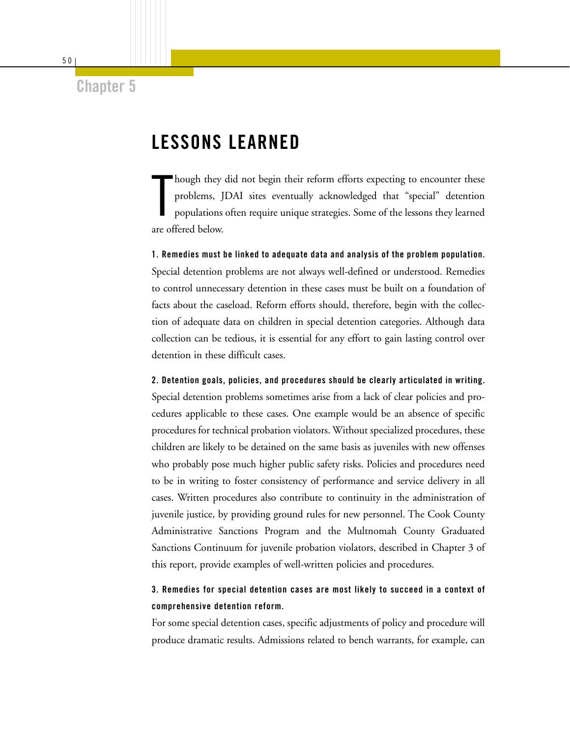**Chapter 5**

# **LESSONS LEARNED**

T hough they did not begin their reform efforts expecting to encounter these problems, JDAI sites eventually acknowledged that "special" detention populations often require unique strategies. Some of the lessons they learned are offered below.

**1. Remedies must be linked to adequate data and analysis of the problem population.**  Special detention problems are not always well-defined or understood. Remedies to control unnecessary detention in these cases must be built on a foundation of facts about the caseload. Reform efforts should, therefore, begin with the collection of adequate data on children in special detention categories. Although data collection can be tedious, it is essential for any effort to gain lasting control over detention in these difficult cases.

**2. Detention goals, policies, and procedures should be clearly articulated in writing.** Special detention problems sometimes arise from a lack of clear policies and procedures applicable to these cases. One example would be an absence of specific procedures for technical probation violators. Without specialized procedures, these children are likely to be detained on the same basis as juveniles with new offenses who probably pose much higher public safety risks. Policies and procedures need to be in writing to foster consistency of performance and service delivery in all cases. Written procedures also contribute to continuity in the administration of juvenile justice, by providing ground rules for new personnel. The Cook County Administrative Sanctions Program and the Multnomah County Graduated Sanctions Continuum for juvenile probation violators, described in Chapter 3 of this report, provide examples of well-written policies and procedures.

### **3. Remedies for special detention cases are most likely to succeed in a context of comprehensive detention reform.**

For some special detention cases, specific adjustments of policy and procedure will produce dramatic results. Admissions related to bench warrants, for example, can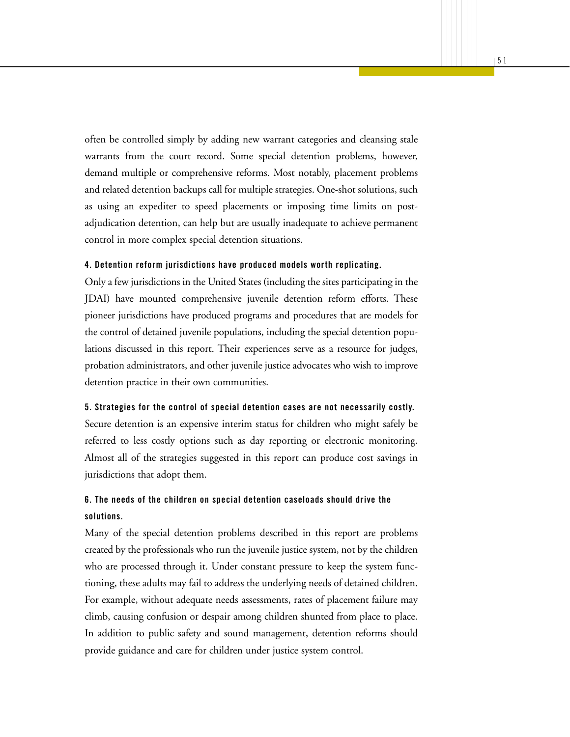often be controlled simply by adding new warrant categories and cleansing stale warrants from the court record. Some special detention problems, however, demand multiple or comprehensive reforms. Most notably, placement problems and related detention backups call for multiple strategies. One-shot solutions, such as using an expediter to speed placements or imposing time limits on postadjudication detention, can help but are usually inadequate to achieve permanent control in more complex special detention situations.

#### **4. Detention reform jurisdictions have produced models worth replicating.**

Only a few jurisdictions in the United States (including the sites participating in the JDAI) have mounted comprehensive juvenile detention reform efforts. These pioneer jurisdictions have produced programs and procedures that are models for the control of detained juvenile populations, including the special detention populations discussed in this report. Their experiences serve as a resource for judges, probation administrators, and other juvenile justice advocates who wish to improve detention practice in their own communities.

#### **5. Strategies for the control of special detention cases are not necessarily costly.**

Secure detention is an expensive interim status for children who might safely be referred to less costly options such as day reporting or electronic monitoring. Almost all of the strategies suggested in this report can produce cost savings in jurisdictions that adopt them.

### **6. The needs of the children on special detention caseloads should drive the solutions.**

Many of the special detention problems described in this report are problems created by the professionals who run the juvenile justice system, not by the children who are processed through it. Under constant pressure to keep the system functioning, these adults may fail to address the underlying needs of detained children. For example, without adequate needs assessments, rates of placement failure may climb, causing confusion or despair among children shunted from place to place. In addition to public safety and sound management, detention reforms should provide guidance and care for children under justice system control.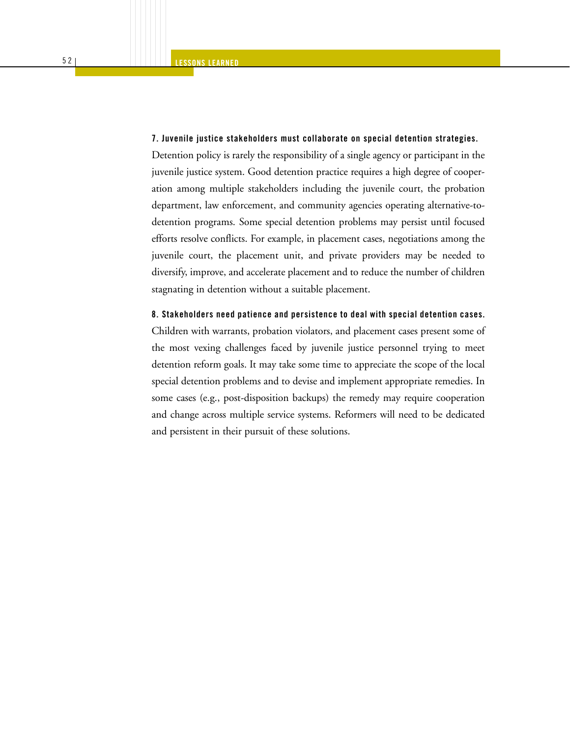#### **7. Juvenile justice stakeholders must collaborate on special detention strategies.**

Detention policy is rarely the responsibility of a single agency or participant in the juvenile justice system. Good detention practice requires a high degree of cooperation among multiple stakeholders including the juvenile court, the probation department, law enforcement, and community agencies operating alternative-todetention programs. Some special detention problems may persist until focused efforts resolve conflicts. For example, in placement cases, negotiations among the juvenile court, the placement unit, and private providers may be needed to diversify, improve, and accelerate placement and to reduce the number of children stagnating in detention without a suitable placement.

#### **8. Stakeholders need patience and persistence to deal with special detention cases.**

Children with warrants, probation violators, and placement cases present some of the most vexing challenges faced by juvenile justice personnel trying to meet detention reform goals. It may take some time to appreciate the scope of the local special detention problems and to devise and implement appropriate remedies. In some cases (e.g., post-disposition backups) the remedy may require cooperation and change across multiple service systems. Reformers will need to be dedicated and persistent in their pursuit of these solutions.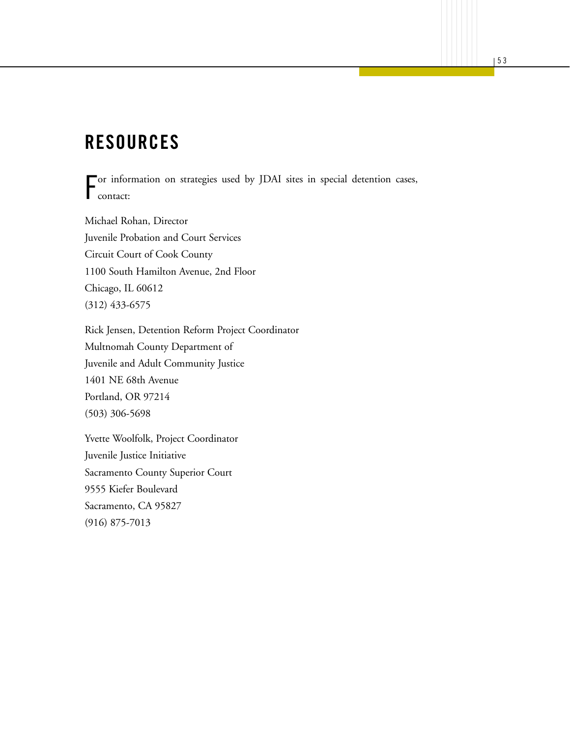# **RESOURCES**

F or information on strategies used by JDAI sites in special detention cases, contact:

Michael Rohan, Director Juvenile Probation and Court Services Circuit Court of Cook County 1100 South Hamilton Avenue, 2nd Floor Chicago, IL 60612 (312) 433-6575

Rick Jensen, Detention Reform Project Coordinator Multnomah County Department of Juvenile and Adult Community Justice 1401 NE 68th Avenue Portland, OR 97214 (503) 306-5698

Yvette Woolfolk, Project Coordinator Juvenile Justice Initiative Sacramento County Superior Court 9555 Kiefer Boulevard Sacramento, CA 95827 (916) 875-7013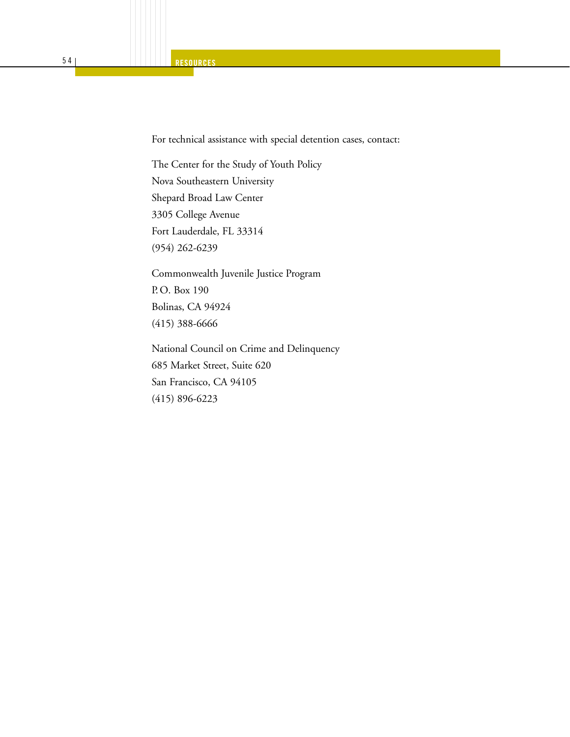For technical assistance with special detention cases, contact:

The Center for the Study of Youth Policy Nova Southeastern University Shepard Broad Law Center 3305 College Avenue Fort Lauderdale, FL 33314 (954) 262-6239

Commonwealth Juvenile Justice Program P. O. Box 190 Bolinas, CA 94924 (415) 388-6666

National Council on Crime and Delinquency 685 Market Street, Suite 620 San Francisco, CA 94105 (415) 896-6223